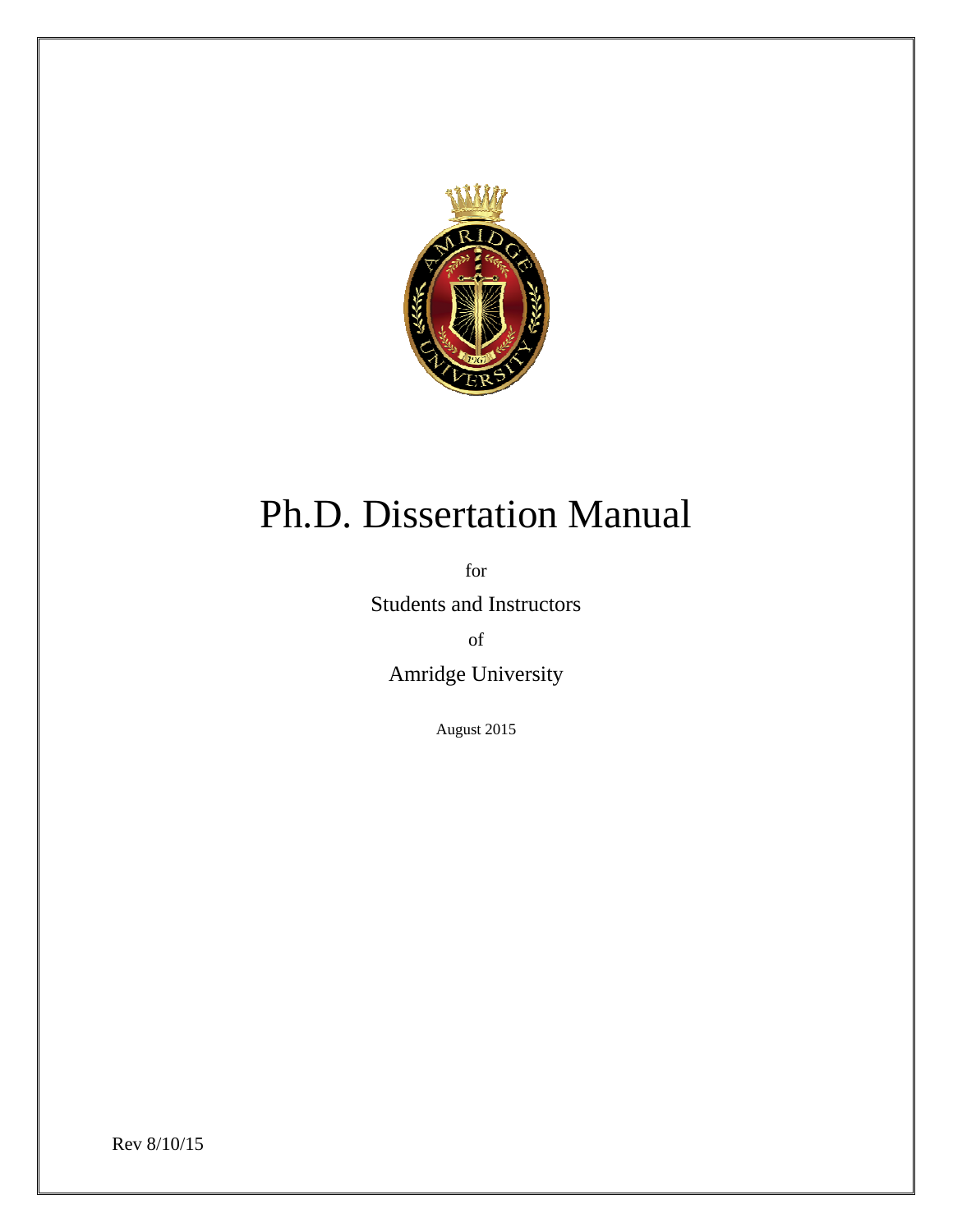

# Ph.D. Dissertation Manual

for

Students and Instructors

of

Amridge University

August 2015

Rev 8/10/15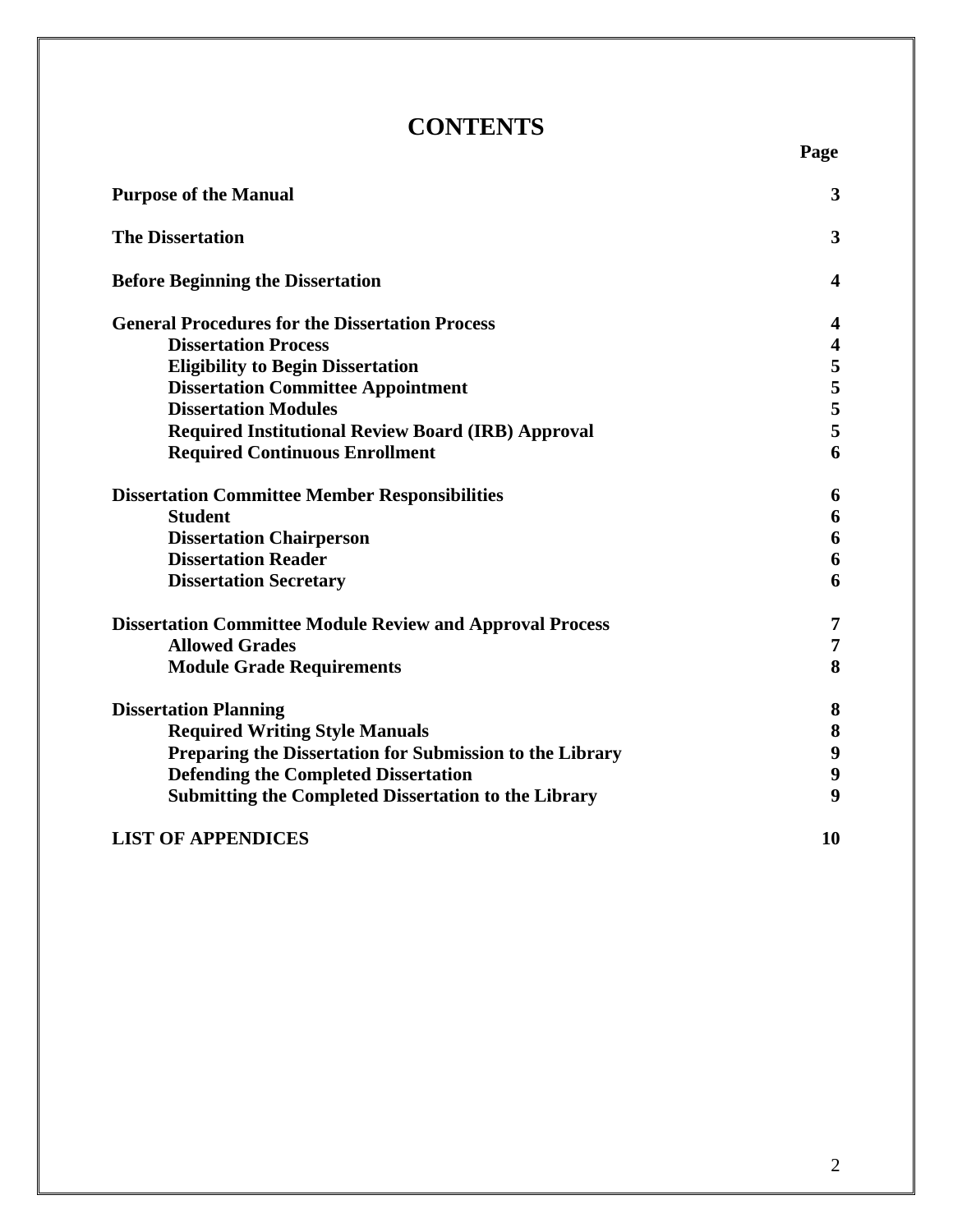### **CONTENTS**

 **Page** 

| <b>Purpose of the Manual</b>                                     |               |
|------------------------------------------------------------------|---------------|
| <b>The Dissertation</b>                                          | 3             |
| <b>Before Beginning the Dissertation</b>                         | 4             |
| <b>General Procedures for the Dissertation Process</b>           | 4             |
| <b>Dissertation Process</b>                                      | 4             |
| <b>Eligibility to Begin Dissertation</b>                         | 5             |
| <b>Dissertation Committee Appointment</b>                        | $\frac{5}{5}$ |
| <b>Dissertation Modules</b>                                      |               |
| <b>Required Institutional Review Board (IRB) Approval</b>        | 5             |
| <b>Required Continuous Enrollment</b>                            | 6             |
| <b>Dissertation Committee Member Responsibilities</b>            | 6             |
| <b>Student</b>                                                   | 6             |
| <b>Dissertation Chairperson</b>                                  | 6             |
| <b>Dissertation Reader</b>                                       | 6             |
| <b>Dissertation Secretary</b>                                    | 6             |
| <b>Dissertation Committee Module Review and Approval Process</b> | 7             |
| <b>Allowed Grades</b>                                            | 7             |
| <b>Module Grade Requirements</b>                                 | 8             |
| <b>Dissertation Planning</b>                                     | 8             |
| <b>Required Writing Style Manuals</b>                            | $\bf{8}$      |
| Preparing the Dissertation for Submission to the Library         | 9             |
| <b>Defending the Completed Dissertation</b>                      | 9             |
| <b>Submitting the Completed Dissertation to the Library</b>      | 9             |
| <b>LIST OF APPENDICES</b>                                        | 10            |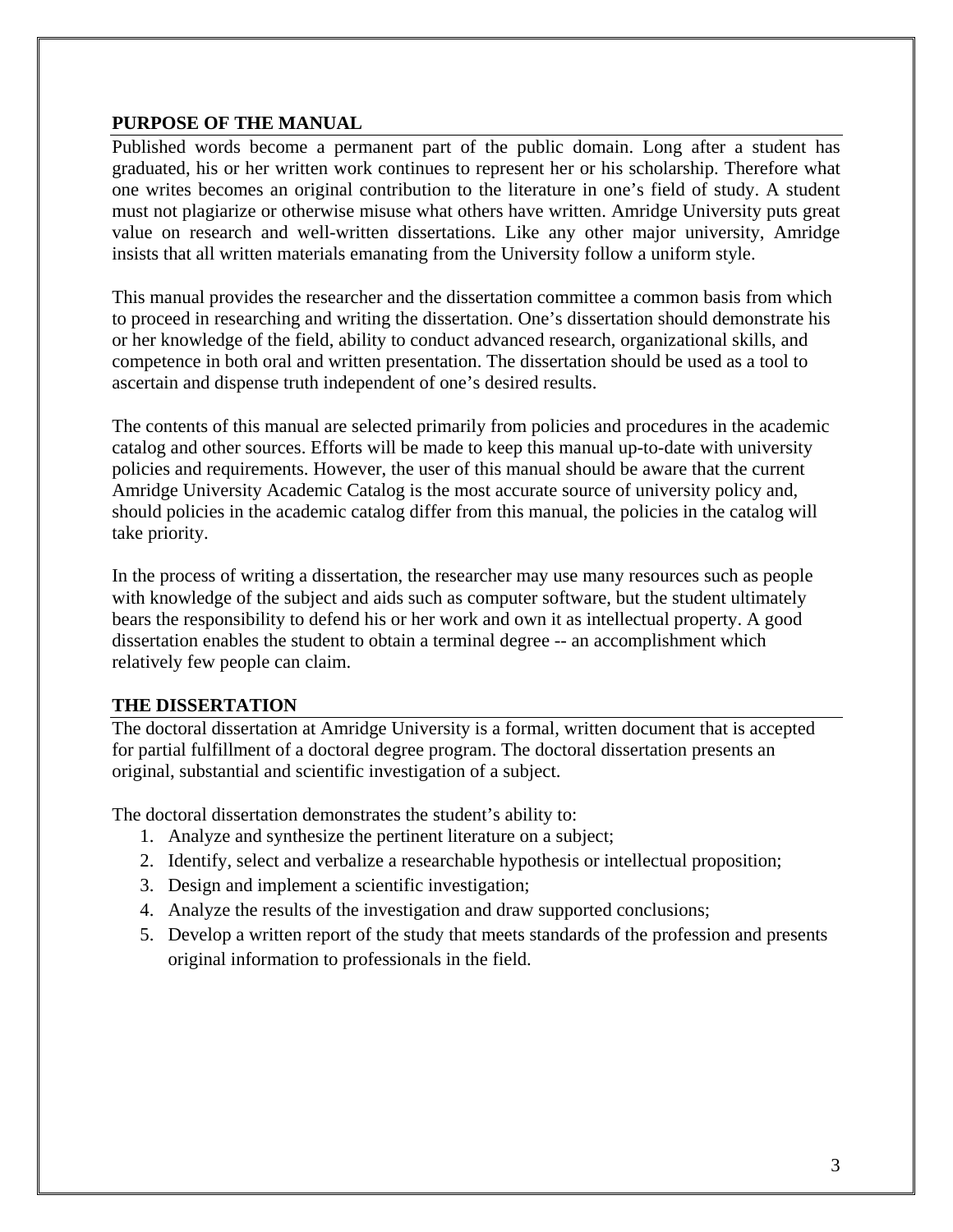#### **PURPOSE OF THE MANUAL**

Published words become a permanent part of the public domain. Long after a student has graduated, his or her written work continues to represent her or his scholarship. Therefore what one writes becomes an original contribution to the literature in one's field of study. A student must not plagiarize or otherwise misuse what others have written. Amridge University puts great value on research and well-written dissertations. Like any other major university, Amridge insists that all written materials emanating from the University follow a uniform style.

This manual provides the researcher and the dissertation committee a common basis from which to proceed in researching and writing the dissertation. One's dissertation should demonstrate his or her knowledge of the field, ability to conduct advanced research, organizational skills, and competence in both oral and written presentation. The dissertation should be used as a tool to ascertain and dispense truth independent of one's desired results.

The contents of this manual are selected primarily from policies and procedures in the academic catalog and other sources. Efforts will be made to keep this manual up-to-date with university policies and requirements. However, the user of this manual should be aware that the current Amridge University Academic Catalog is the most accurate source of university policy and, should policies in the academic catalog differ from this manual, the policies in the catalog will take priority.

In the process of writing a dissertation, the researcher may use many resources such as people with knowledge of the subject and aids such as computer software, but the student ultimately bears the responsibility to defend his or her work and own it as intellectual property. A good dissertation enables the student to obtain a terminal degree -- an accomplishment which relatively few people can claim.

#### **THE DISSERTATION**

The doctoral dissertation at Amridge University is a formal, written document that is accepted for partial fulfillment of a doctoral degree program. The doctoral dissertation presents an original, substantial and scientific investigation of a subject.

The doctoral dissertation demonstrates the student's ability to:

- 1. Analyze and synthesize the pertinent literature on a subject;
- 2. Identify, select and verbalize a researchable hypothesis or intellectual proposition;
- 3. Design and implement a scientific investigation;
- 4. Analyze the results of the investigation and draw supported conclusions;
- 5. Develop a written report of the study that meets standards of the profession and presents original information to professionals in the field.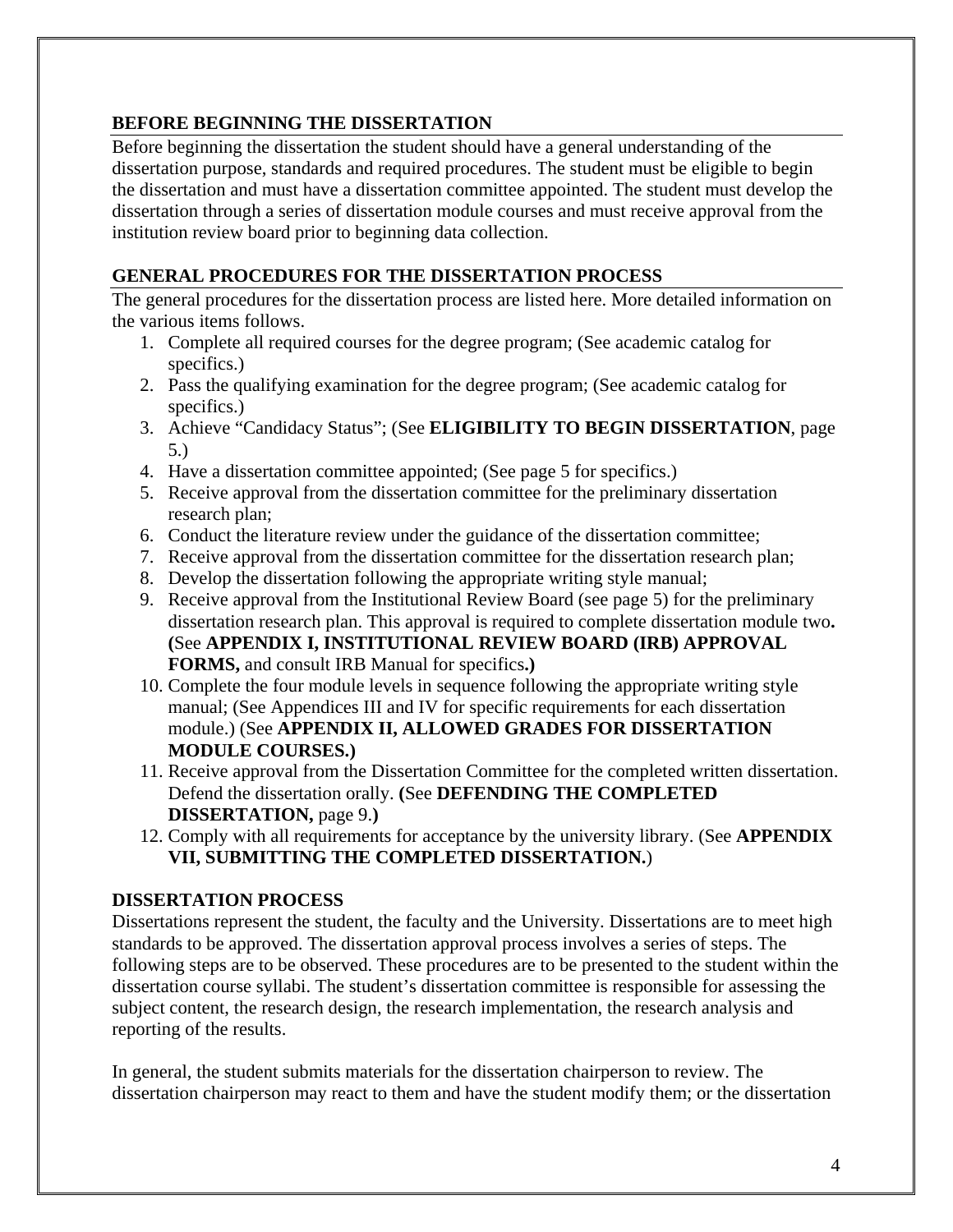### **BEFORE BEGINNING THE DISSERTATION**

Before beginning the dissertation the student should have a general understanding of the dissertation purpose, standards and required procedures. The student must be eligible to begin the dissertation and must have a dissertation committee appointed. The student must develop the dissertation through a series of dissertation module courses and must receive approval from the institution review board prior to beginning data collection.

#### **GENERAL PROCEDURES FOR THE DISSERTATION PROCESS**

The general procedures for the dissertation process are listed here. More detailed information on the various items follows.

- 1. Complete all required courses for the degree program; (See academic catalog for specifics.)
- 2. Pass the qualifying examination for the degree program; (See academic catalog for specifics.)
- 3. Achieve "Candidacy Status"; (See **ELIGIBILITY TO BEGIN DISSERTATION**, page 5.)
- 4. Have a dissertation committee appointed; (See page 5 for specifics.)
- 5. Receive approval from the dissertation committee for the preliminary dissertation research plan;
- 6. Conduct the literature review under the guidance of the dissertation committee;
- 7. Receive approval from the dissertation committee for the dissertation research plan;
- 8. Develop the dissertation following the appropriate writing style manual;
- 9. Receive approval from the Institutional Review Board (see page 5) for the preliminary dissertation research plan. This approval is required to complete dissertation module two**. (**See **APPENDIX I, INSTITUTIONAL REVIEW BOARD (IRB) APPROVAL FORMS,** and consult IRB Manual for specifics**.)**
- 10. Complete the four module levels in sequence following the appropriate writing style manual; (See Appendices III and IV for specific requirements for each dissertation module.) (See **APPENDIX II, ALLOWED GRADES FOR DISSERTATION MODULE COURSES.)**
- 11. Receive approval from the Dissertation Committee for the completed written dissertation. Defend the dissertation orally. **(**See **DEFENDING THE COMPLETED DISSERTATION,** page 9.**)**
- 12. Comply with all requirements for acceptance by the university library. (See **APPENDIX VII, SUBMITTING THE COMPLETED DISSERTATION.**)

#### **DISSERTATION PROCESS**

Dissertations represent the student, the faculty and the University. Dissertations are to meet high standards to be approved. The dissertation approval process involves a series of steps. The following steps are to be observed. These procedures are to be presented to the student within the dissertation course syllabi. The student's dissertation committee is responsible for assessing the subject content, the research design, the research implementation, the research analysis and reporting of the results.

In general, the student submits materials for the dissertation chairperson to review. The dissertation chairperson may react to them and have the student modify them; or the dissertation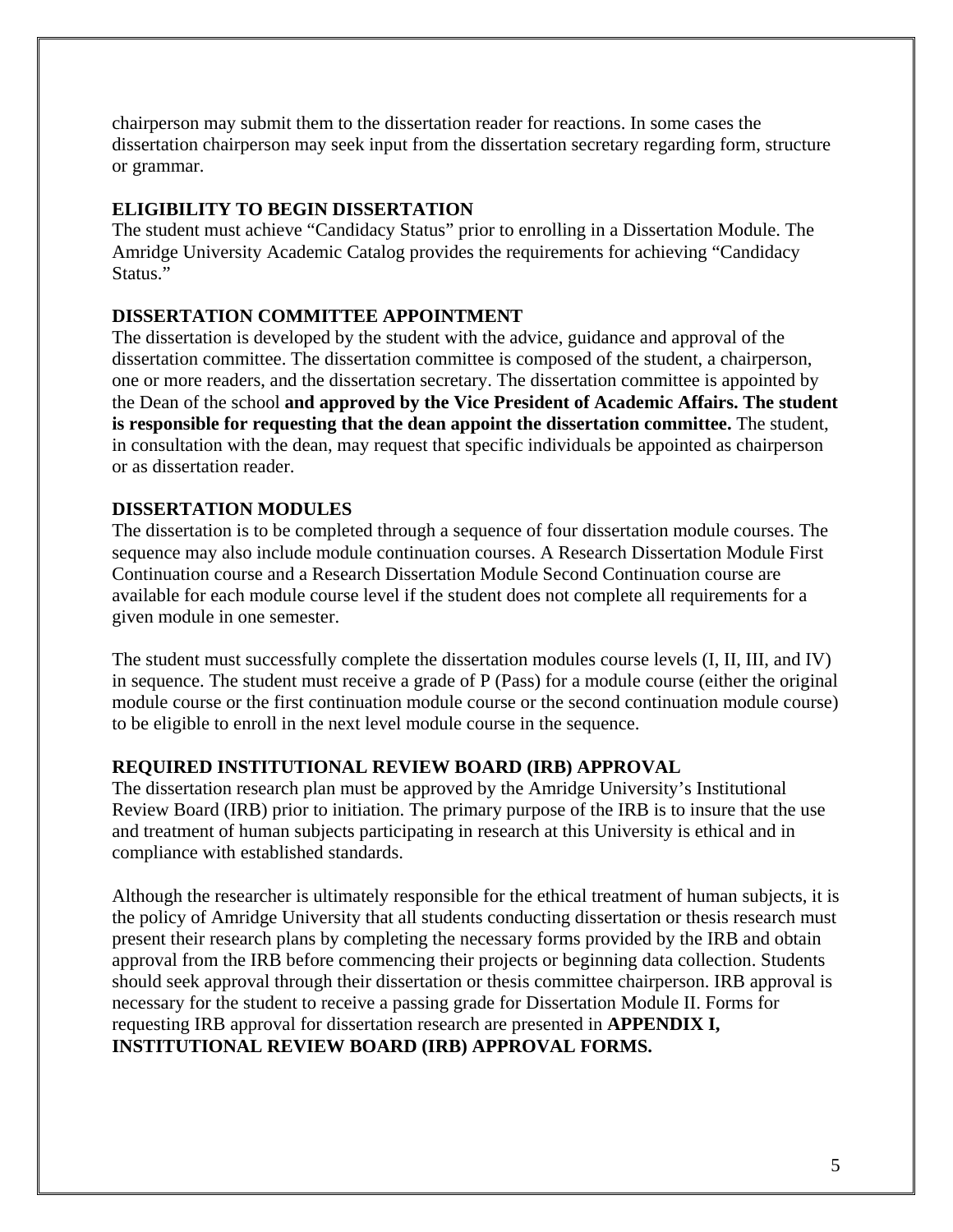chairperson may submit them to the dissertation reader for reactions. In some cases the dissertation chairperson may seek input from the dissertation secretary regarding form, structure or grammar.

#### **ELIGIBILITY TO BEGIN DISSERTATION**

The student must achieve "Candidacy Status" prior to enrolling in a Dissertation Module. The Amridge University Academic Catalog provides the requirements for achieving "Candidacy Status."

#### **DISSERTATION COMMITTEE APPOINTMENT**

The dissertation is developed by the student with the advice, guidance and approval of the dissertation committee. The dissertation committee is composed of the student, a chairperson, one or more readers, and the dissertation secretary. The dissertation committee is appointed by the Dean of the school **and approved by the Vice President of Academic Affairs. The student is responsible for requesting that the dean appoint the dissertation committee.** The student, in consultation with the dean, may request that specific individuals be appointed as chairperson or as dissertation reader.

#### **DISSERTATION MODULES**

The dissertation is to be completed through a sequence of four dissertation module courses. The sequence may also include module continuation courses. A Research Dissertation Module First Continuation course and a Research Dissertation Module Second Continuation course are available for each module course level if the student does not complete all requirements for a given module in one semester.

The student must successfully complete the dissertation modules course levels (I, II, III, and IV) in sequence. The student must receive a grade of P (Pass) for a module course (either the original module course or the first continuation module course or the second continuation module course) to be eligible to enroll in the next level module course in the sequence.

#### **REQUIRED INSTITUTIONAL REVIEW BOARD (IRB) APPROVAL**

The dissertation research plan must be approved by the Amridge University's Institutional Review Board (IRB) prior to initiation. The primary purpose of the IRB is to insure that the use and treatment of human subjects participating in research at this University is ethical and in compliance with established standards.

Although the researcher is ultimately responsible for the ethical treatment of human subjects, it is the policy of Amridge University that all students conducting dissertation or thesis research must present their research plans by completing the necessary forms provided by the IRB and obtain approval from the IRB before commencing their projects or beginning data collection. Students should seek approval through their dissertation or thesis committee chairperson. IRB approval is necessary for the student to receive a passing grade for Dissertation Module II. Forms for requesting IRB approval for dissertation research are presented in **APPENDIX I, INSTITUTIONAL REVIEW BOARD (IRB) APPROVAL FORMS.**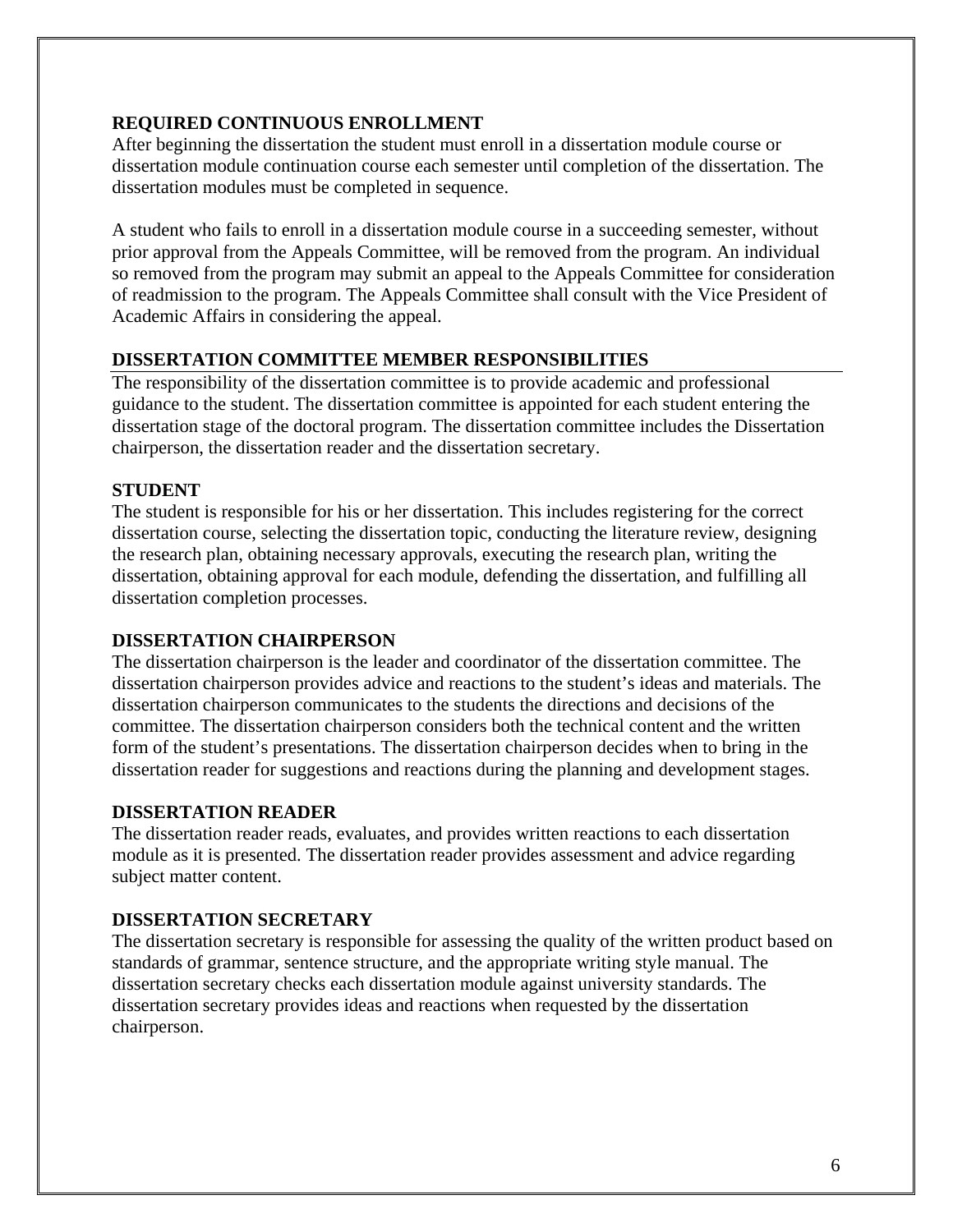#### **REQUIRED CONTINUOUS ENROLLMENT**

After beginning the dissertation the student must enroll in a dissertation module course or dissertation module continuation course each semester until completion of the dissertation. The dissertation modules must be completed in sequence.

A student who fails to enroll in a dissertation module course in a succeeding semester, without prior approval from the Appeals Committee, will be removed from the program. An individual so removed from the program may submit an appeal to the Appeals Committee for consideration of readmission to the program. The Appeals Committee shall consult with the Vice President of Academic Affairs in considering the appeal.

#### **DISSERTATION COMMITTEE MEMBER RESPONSIBILITIES**

The responsibility of the dissertation committee is to provide academic and professional guidance to the student. The dissertation committee is appointed for each student entering the dissertation stage of the doctoral program. The dissertation committee includes the Dissertation chairperson, the dissertation reader and the dissertation secretary.

#### **STUDENT**

The student is responsible for his or her dissertation. This includes registering for the correct dissertation course, selecting the dissertation topic, conducting the literature review, designing the research plan, obtaining necessary approvals, executing the research plan, writing the dissertation, obtaining approval for each module, defending the dissertation, and fulfilling all dissertation completion processes.

### **DISSERTATION CHAIRPERSON**

The dissertation chairperson is the leader and coordinator of the dissertation committee. The dissertation chairperson provides advice and reactions to the student's ideas and materials. The dissertation chairperson communicates to the students the directions and decisions of the committee. The dissertation chairperson considers both the technical content and the written form of the student's presentations. The dissertation chairperson decides when to bring in the dissertation reader for suggestions and reactions during the planning and development stages.

### **DISSERTATION READER**

The dissertation reader reads, evaluates, and provides written reactions to each dissertation module as it is presented. The dissertation reader provides assessment and advice regarding subject matter content.

### **DISSERTATION SECRETARY**

The dissertation secretary is responsible for assessing the quality of the written product based on standards of grammar, sentence structure, and the appropriate writing style manual. The dissertation secretary checks each dissertation module against university standards. The dissertation secretary provides ideas and reactions when requested by the dissertation chairperson.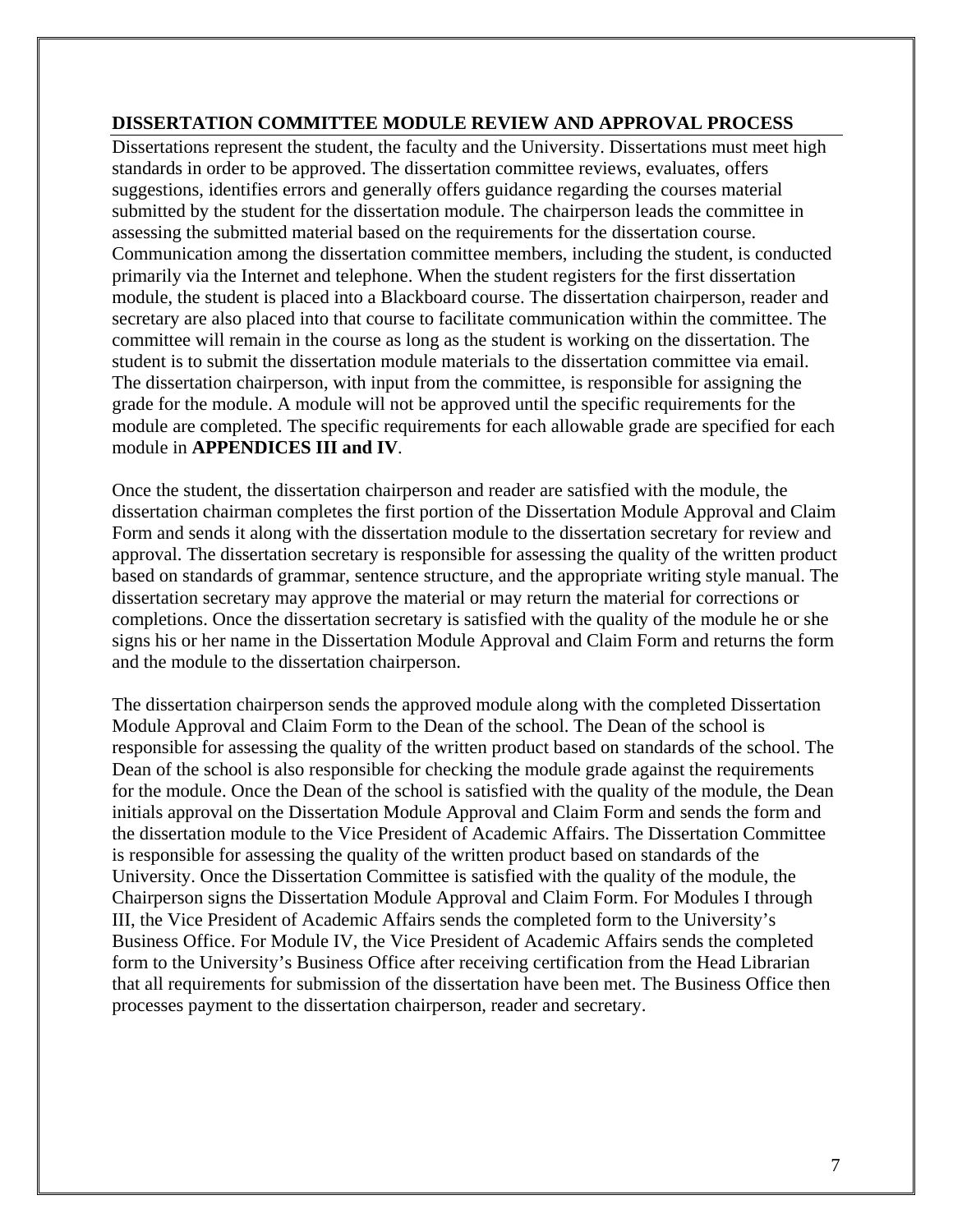#### **DISSERTATION COMMITTEE MODULE REVIEW AND APPROVAL PROCESS**

Dissertations represent the student, the faculty and the University. Dissertations must meet high standards in order to be approved. The dissertation committee reviews, evaluates, offers suggestions, identifies errors and generally offers guidance regarding the courses material submitted by the student for the dissertation module. The chairperson leads the committee in assessing the submitted material based on the requirements for the dissertation course. Communication among the dissertation committee members, including the student, is conducted primarily via the Internet and telephone. When the student registers for the first dissertation module, the student is placed into a Blackboard course. The dissertation chairperson, reader and secretary are also placed into that course to facilitate communication within the committee. The committee will remain in the course as long as the student is working on the dissertation. The student is to submit the dissertation module materials to the dissertation committee via email. The dissertation chairperson, with input from the committee, is responsible for assigning the grade for the module. A module will not be approved until the specific requirements for the module are completed. The specific requirements for each allowable grade are specified for each module in **APPENDICES III and IV**.

Once the student, the dissertation chairperson and reader are satisfied with the module, the dissertation chairman completes the first portion of the Dissertation Module Approval and Claim Form and sends it along with the dissertation module to the dissertation secretary for review and approval. The dissertation secretary is responsible for assessing the quality of the written product based on standards of grammar, sentence structure, and the appropriate writing style manual. The dissertation secretary may approve the material or may return the material for corrections or completions. Once the dissertation secretary is satisfied with the quality of the module he or she signs his or her name in the Dissertation Module Approval and Claim Form and returns the form and the module to the dissertation chairperson.

The dissertation chairperson sends the approved module along with the completed Dissertation Module Approval and Claim Form to the Dean of the school. The Dean of the school is responsible for assessing the quality of the written product based on standards of the school. The Dean of the school is also responsible for checking the module grade against the requirements for the module. Once the Dean of the school is satisfied with the quality of the module, the Dean initials approval on the Dissertation Module Approval and Claim Form and sends the form and the dissertation module to the Vice President of Academic Affairs. The Dissertation Committee is responsible for assessing the quality of the written product based on standards of the University. Once the Dissertation Committee is satisfied with the quality of the module, the Chairperson signs the Dissertation Module Approval and Claim Form. For Modules I through III, the Vice President of Academic Affairs sends the completed form to the University's Business Office. For Module IV, the Vice President of Academic Affairs sends the completed form to the University's Business Office after receiving certification from the Head Librarian that all requirements for submission of the dissertation have been met. The Business Office then processes payment to the dissertation chairperson, reader and secretary.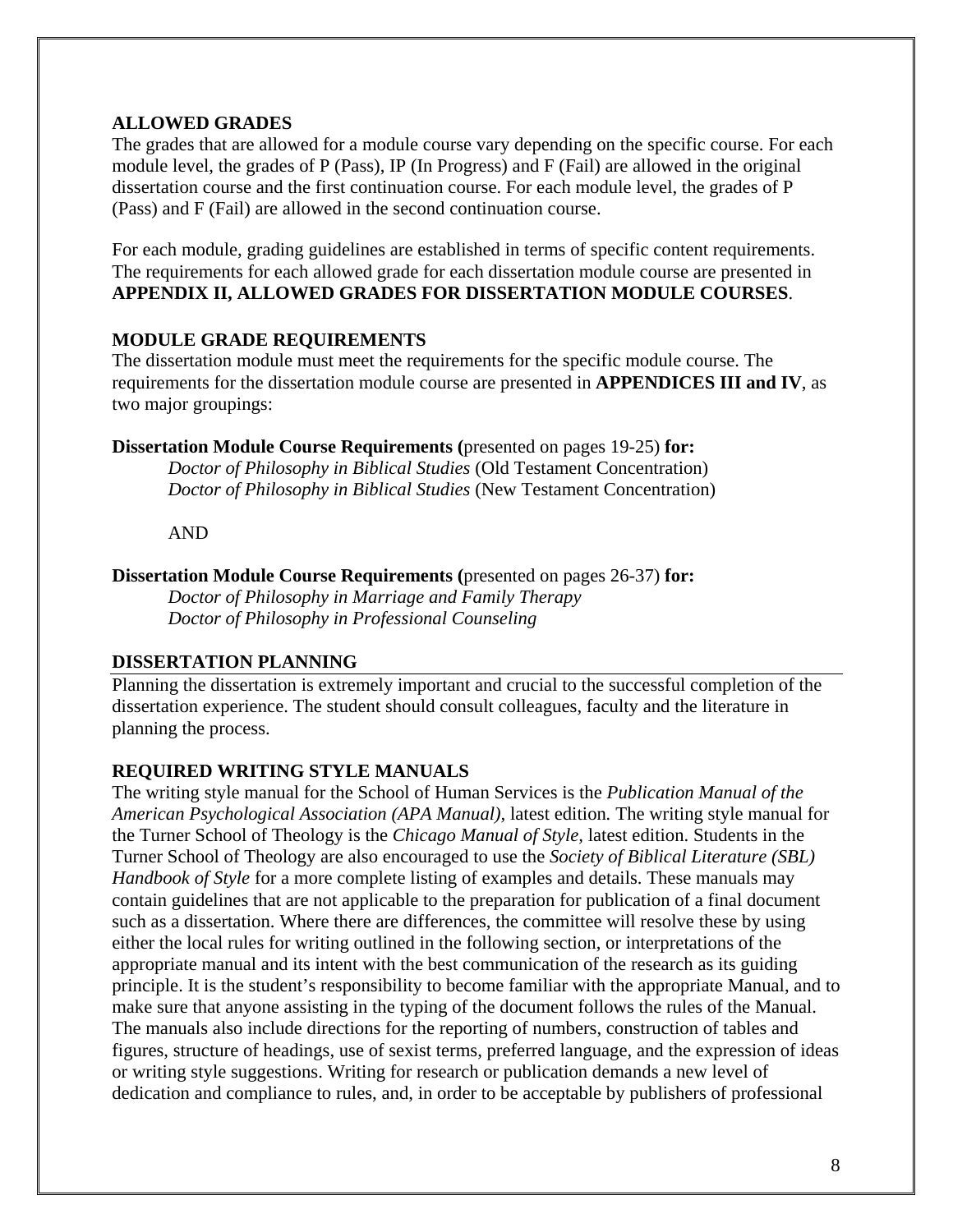#### **ALLOWED GRADES**

The grades that are allowed for a module course vary depending on the specific course. For each module level, the grades of P (Pass), IP (In Progress) and F (Fail) are allowed in the original dissertation course and the first continuation course. For each module level, the grades of P (Pass) and F (Fail) are allowed in the second continuation course.

For each module, grading guidelines are established in terms of specific content requirements. The requirements for each allowed grade for each dissertation module course are presented in **APPENDIX II, ALLOWED GRADES FOR DISSERTATION MODULE COURSES**.

#### **MODULE GRADE REQUIREMENTS**

The dissertation module must meet the requirements for the specific module course. The requirements for the dissertation module course are presented in **APPENDICES III and IV**, as two major groupings:

**Dissertation Module Course Requirements (**presented on pages 19-25) **for:**

*Doctor of Philosophy in Biblical Studies* (Old Testament Concentration) *Doctor of Philosophy in Biblical Studies* (New Testament Concentration)

AND

#### **Dissertation Module Course Requirements (**presented on pages 26-37) **for:**

*Doctor of Philosophy in Marriage and Family Therapy Doctor of Philosophy in Professional Counseling*

#### **DISSERTATION PLANNING**

Planning the dissertation is extremely important and crucial to the successful completion of the dissertation experience. The student should consult colleagues, faculty and the literature in planning the process.

#### **REQUIRED WRITING STYLE MANUALS**

The writing style manual for the School of Human Services is the *Publication Manual of the American Psychological Association (APA Manual),* latest edition*.* The writing style manual for the Turner School of Theology is the *Chicago Manual of Style,* latest edition. Students in the Turner School of Theology are also encouraged to use the *Society of Biblical Literature (SBL) Handbook of Style* for a more complete listing of examples and details. These manuals may contain guidelines that are not applicable to the preparation for publication of a final document such as a dissertation. Where there are differences, the committee will resolve these by using either the local rules for writing outlined in the following section, or interpretations of the appropriate manual and its intent with the best communication of the research as its guiding principle. It is the student's responsibility to become familiar with the appropriate Manual, and to make sure that anyone assisting in the typing of the document follows the rules of the Manual. The manuals also include directions for the reporting of numbers, construction of tables and figures, structure of headings, use of sexist terms, preferred language, and the expression of ideas or writing style suggestions. Writing for research or publication demands a new level of dedication and compliance to rules, and, in order to be acceptable by publishers of professional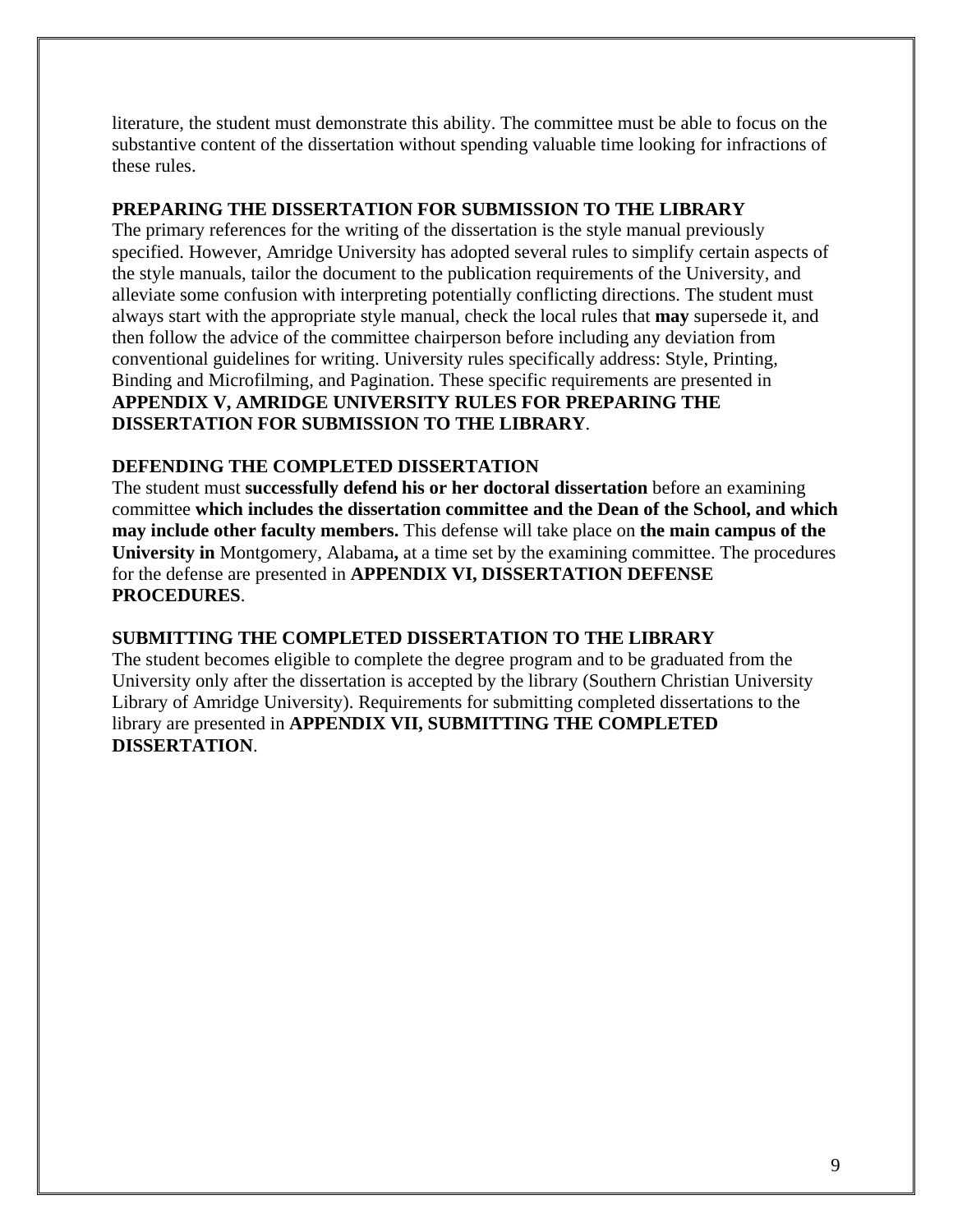literature, the student must demonstrate this ability. The committee must be able to focus on the substantive content of the dissertation without spending valuable time looking for infractions of these rules.

#### **PREPARING THE DISSERTATION FOR SUBMISSION TO THE LIBRARY**

The primary references for the writing of the dissertation is the style manual previously specified. However, Amridge University has adopted several rules to simplify certain aspects of the style manuals, tailor the document to the publication requirements of the University, and alleviate some confusion with interpreting potentially conflicting directions. The student must always start with the appropriate style manual, check the local rules that **may** supersede it, and then follow the advice of the committee chairperson before including any deviation from conventional guidelines for writing. University rules specifically address: Style, Printing, Binding and Microfilming, and Pagination. These specific requirements are presented in **APPENDIX V, AMRIDGE UNIVERSITY RULES FOR PREPARING THE DISSERTATION FOR SUBMISSION TO THE LIBRARY**.

#### **DEFENDING THE COMPLETED DISSERTATION**

The student must **successfully defend his or her doctoral dissertation** before an examining committee **which includes the dissertation committee and the Dean of the School, and which may include other faculty members.** This defense will take place on **the main campus of the University in** Montgomery, Alabama**,** at a time set by the examining committee. The procedures for the defense are presented in **APPENDIX VI, DISSERTATION DEFENSE PROCEDURES**.

#### **SUBMITTING THE COMPLETED DISSERTATION TO THE LIBRARY**

The student becomes eligible to complete the degree program and to be graduated from the University only after the dissertation is accepted by the library (Southern Christian University Library of Amridge University). Requirements for submitting completed dissertations to the library are presented in **APPENDIX VII, SUBMITTING THE COMPLETED DISSERTATION**.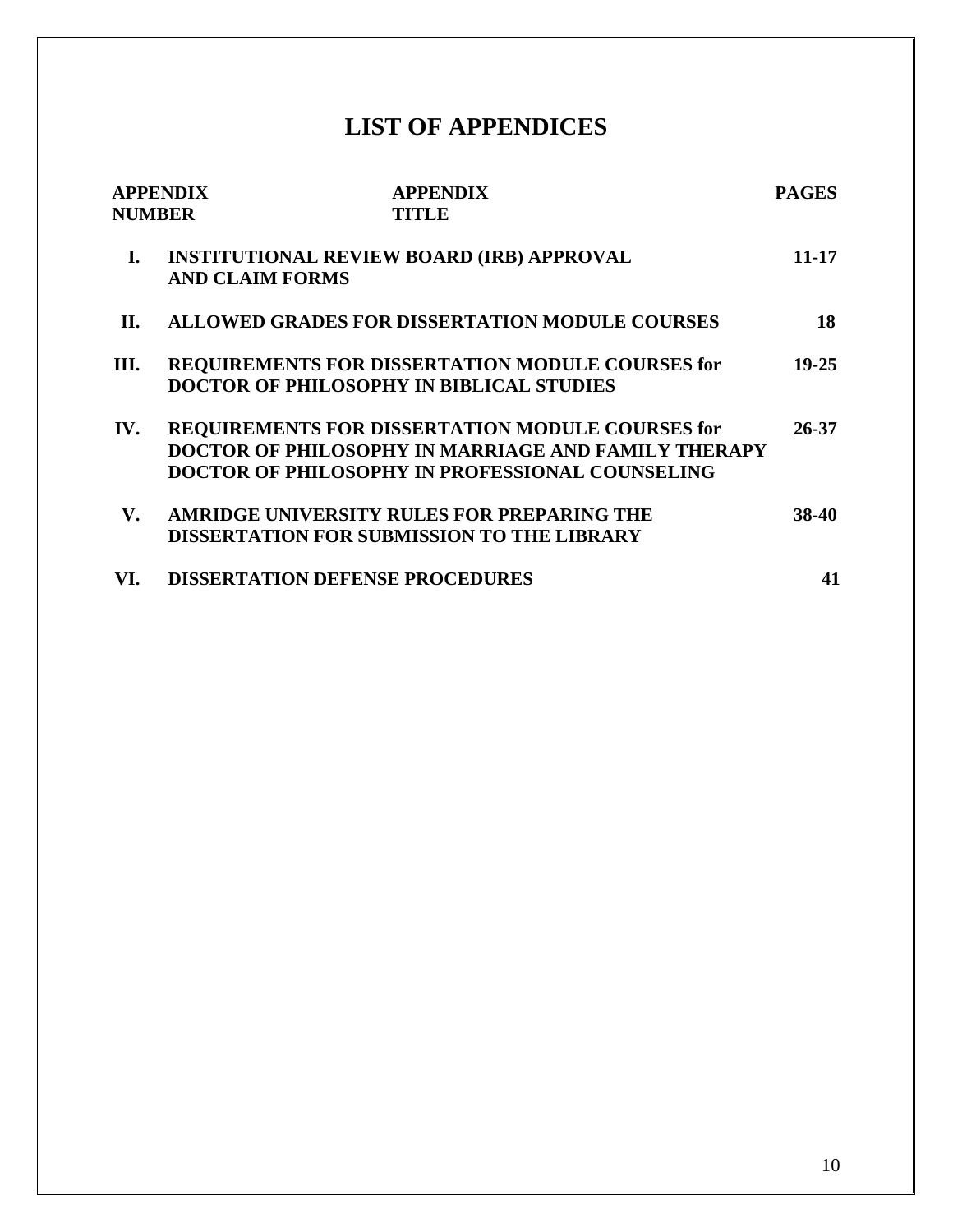## **LIST OF APPENDICES**

| <b>NUMBER</b> | <b>APPENDIX</b>        | <b>APPENDIX</b><br><b>TITLE</b>                                                                                                                                          | <b>PAGES</b> |
|---------------|------------------------|--------------------------------------------------------------------------------------------------------------------------------------------------------------------------|--------------|
| I.            | <b>AND CLAIM FORMS</b> | <b>INSTITUTIONAL REVIEW BOARD (IRB) APPROVAL</b>                                                                                                                         | 11-17        |
| H.            |                        | <b>ALLOWED GRADES FOR DISSERTATION MODULE COURSES</b>                                                                                                                    | 18           |
| Ш.            |                        | REQUIREMENTS FOR DISSERTATION MODULE COURSES for<br><b>DOCTOR OF PHILOSOPHY IN BIBLICAL STUDIES</b>                                                                      | $19 - 25$    |
| IV.           |                        | REQUIREMENTS FOR DISSERTATION MODULE COURSES for<br><b>DOCTOR OF PHILOSOPHY IN MARRIAGE AND FAMILY THERAPY</b><br><b>DOCTOR OF PHILOSOPHY IN PROFESSIONAL COUNSELING</b> | 26-37        |
| V.            |                        | <b>AMRIDGE UNIVERSITY RULES FOR PREPARING THE</b><br><b>DISSERTATION FOR SUBMISSION TO THE LIBRARY</b>                                                                   | 38-40        |
| VI.           |                        | <b>DISSERTATION DEFENSE PROCEDURES</b>                                                                                                                                   | 41           |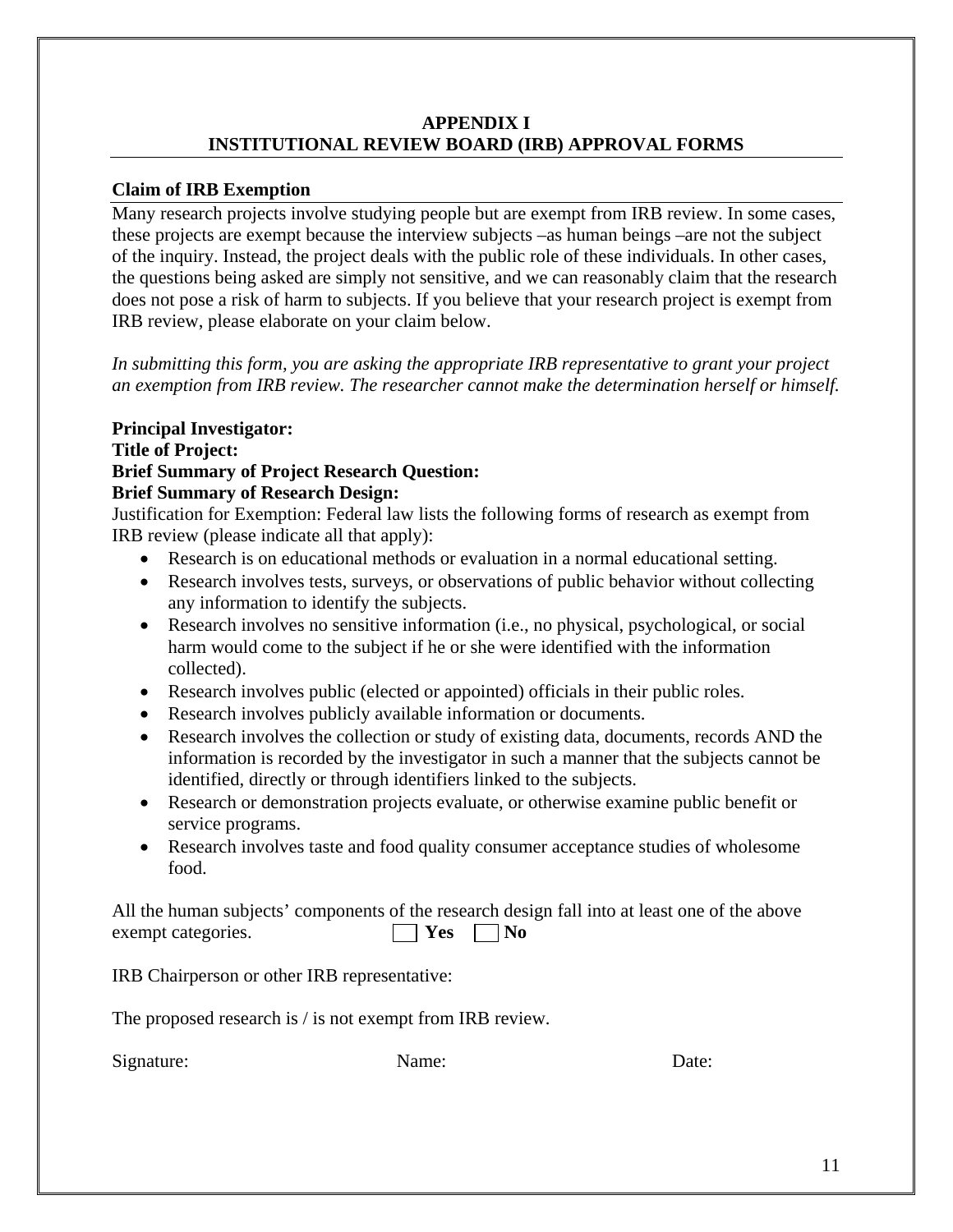#### **APPENDIX I INSTITUTIONAL REVIEW BOARD (IRB) APPROVAL FORMS**

#### **Claim of IRB Exemption**

Many research projects involve studying people but are exempt from IRB review. In some cases, these projects are exempt because the interview subjects –as human beings –are not the subject of the inquiry. Instead, the project deals with the public role of these individuals. In other cases, the questions being asked are simply not sensitive, and we can reasonably claim that the research does not pose a risk of harm to subjects. If you believe that your research project is exempt from IRB review, please elaborate on your claim below.

*In submitting this form, you are asking the appropriate IRB representative to grant your project an exemption from IRB review. The researcher cannot make the determination herself or himself.* 

#### **Principal Investigator:**

#### **Title of Project:**

#### **Brief Summary of Project Research Question:**

#### **Brief Summary of Research Design:**

Justification for Exemption: Federal law lists the following forms of research as exempt from IRB review (please indicate all that apply):

- Research is on educational methods or evaluation in a normal educational setting.
- Research involves tests, surveys, or observations of public behavior without collecting any information to identify the subjects.
- Research involves no sensitive information (i.e., no physical, psychological, or social harm would come to the subject if he or she were identified with the information collected).
- Research involves public (elected or appointed) officials in their public roles.
- Research involves publicly available information or documents.
- Research involves the collection or study of existing data, documents, records AND the information is recorded by the investigator in such a manner that the subjects cannot be identified, directly or through identifiers linked to the subjects.
- Research or demonstration projects evaluate, or otherwise examine public benefit or service programs.
- Research involves taste and food quality consumer acceptance studies of wholesome food.

All the human subjects' components of the research design fall into at least one of the above exempt categories.  $\Box$  Yes  $\Box$  No

IRB Chairperson or other IRB representative:

The proposed research is / is not exempt from IRB review.

Signature: Name: Name: Date: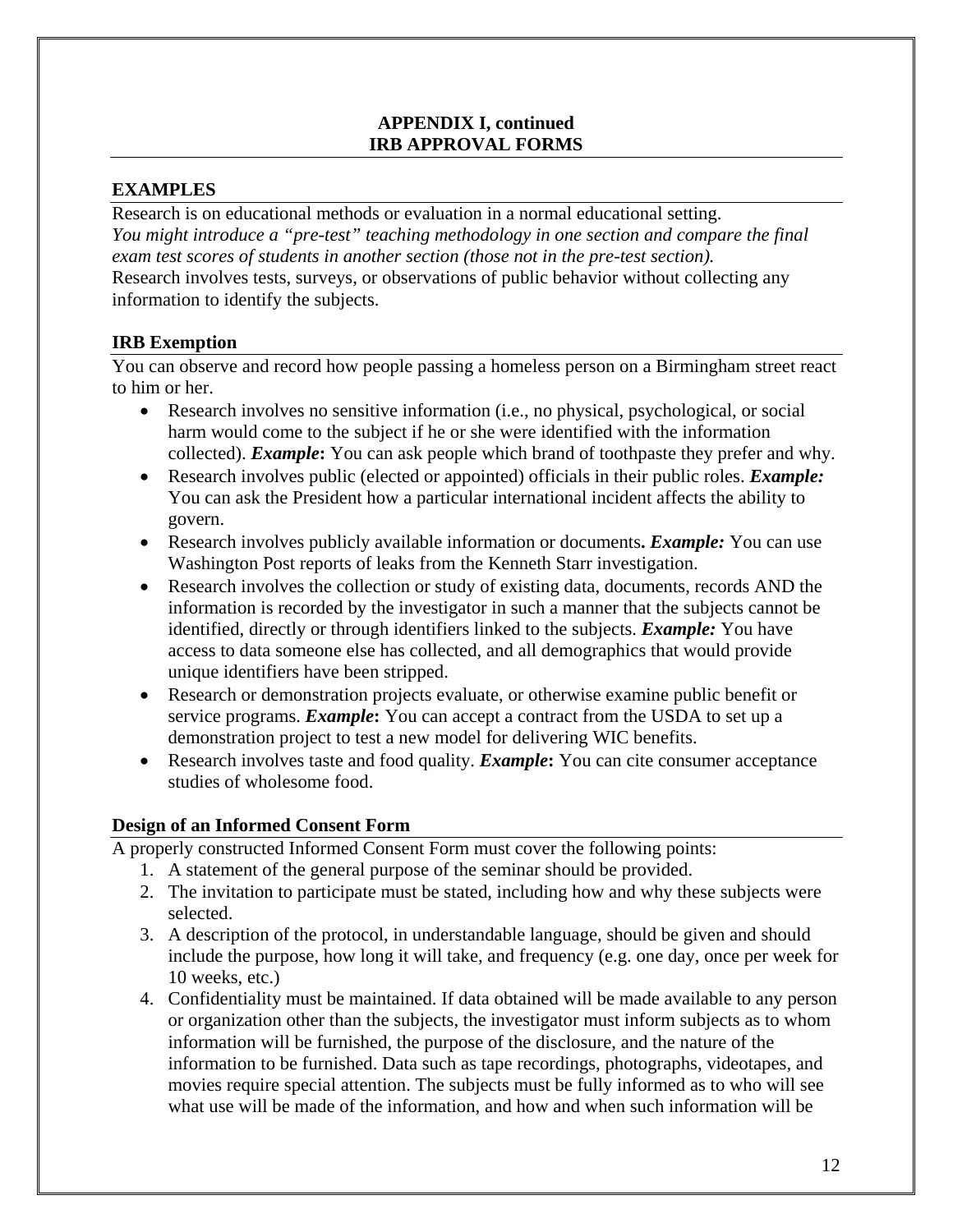#### **EXAMPLES**

Research is on educational methods or evaluation in a normal educational setting. *You might introduce a "pre-test" teaching methodology in one section and compare the final exam test scores of students in another section (those not in the pre-test section).* Research involves tests, surveys, or observations of public behavior without collecting any information to identify the subjects.

#### **IRB Exemption**

You can observe and record how people passing a homeless person on a Birmingham street react to him or her.

- Research involves no sensitive information (i.e., no physical, psychological, or social harm would come to the subject if he or she were identified with the information collected). *Example***:** You can ask people which brand of toothpaste they prefer and why.
- Research involves public (elected or appointed) officials in their public roles. *Example:* You can ask the President how a particular international incident affects the ability to govern.
- Research involves publicly available information or documents**.** *Example:* You can use Washington Post reports of leaks from the Kenneth Starr investigation.
- Research involves the collection or study of existing data, documents, records AND the information is recorded by the investigator in such a manner that the subjects cannot be identified, directly or through identifiers linked to the subjects. *Example:* You have access to data someone else has collected, and all demographics that would provide unique identifiers have been stripped.
- Research or demonstration projects evaluate, or otherwise examine public benefit or service programs. *Example***:** You can accept a contract from the USDA to set up a demonstration project to test a new model for delivering WIC benefits.
- Research involves taste and food quality. *Example***:** You can cite consumer acceptance studies of wholesome food.

#### **Design of an Informed Consent Form**

A properly constructed Informed Consent Form must cover the following points:

- 1. A statement of the general purpose of the seminar should be provided.
- 2. The invitation to participate must be stated, including how and why these subjects were selected.
- 3. A description of the protocol, in understandable language, should be given and should include the purpose, how long it will take, and frequency (e.g. one day, once per week for 10 weeks, etc.)
- 4. Confidentiality must be maintained. If data obtained will be made available to any person or organization other than the subjects, the investigator must inform subjects as to whom information will be furnished, the purpose of the disclosure, and the nature of the information to be furnished. Data such as tape recordings, photographs, videotapes, and movies require special attention. The subjects must be fully informed as to who will see what use will be made of the information, and how and when such information will be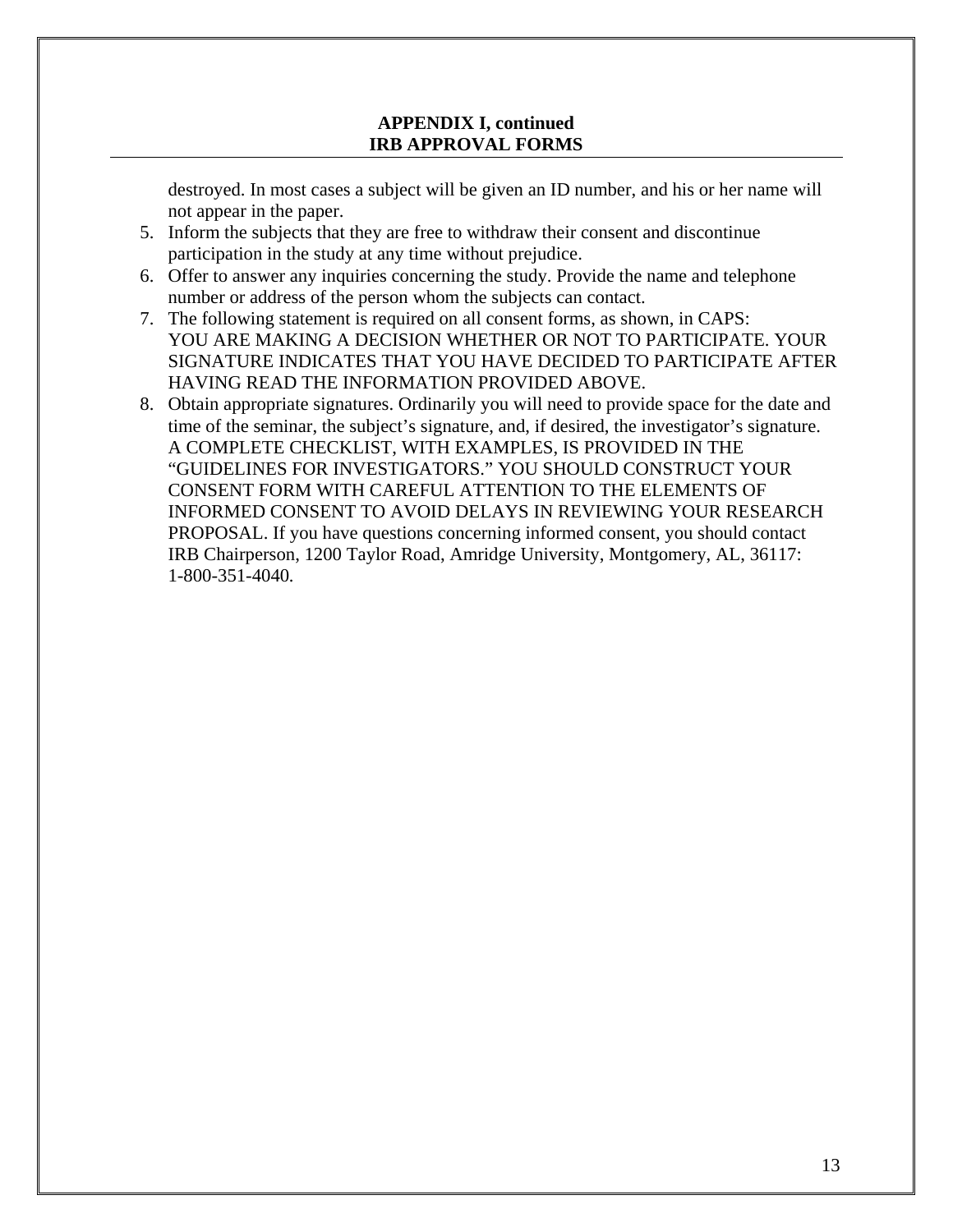destroyed. In most cases a subject will be given an ID number, and his or her name will not appear in the paper.

- 5. Inform the subjects that they are free to withdraw their consent and discontinue participation in the study at any time without prejudice.
- 6. Offer to answer any inquiries concerning the study. Provide the name and telephone number or address of the person whom the subjects can contact.
- 7. The following statement is required on all consent forms, as shown, in CAPS: YOU ARE MAKING A DECISION WHETHER OR NOT TO PARTICIPATE. YOUR SIGNATURE INDICATES THAT YOU HAVE DECIDED TO PARTICIPATE AFTER HAVING READ THE INFORMATION PROVIDED ABOVE.
- 8. Obtain appropriate signatures. Ordinarily you will need to provide space for the date and time of the seminar, the subject's signature, and, if desired, the investigator's signature. A COMPLETE CHECKLIST, WITH EXAMPLES, IS PROVIDED IN THE "GUIDELINES FOR INVESTIGATORS." YOU SHOULD CONSTRUCT YOUR CONSENT FORM WITH CAREFUL ATTENTION TO THE ELEMENTS OF INFORMED CONSENT TO AVOID DELAYS IN REVIEWING YOUR RESEARCH PROPOSAL. If you have questions concerning informed consent, you should contact IRB Chairperson, 1200 Taylor Road, Amridge University, Montgomery, AL, 36117: 1-800-351-4040*.*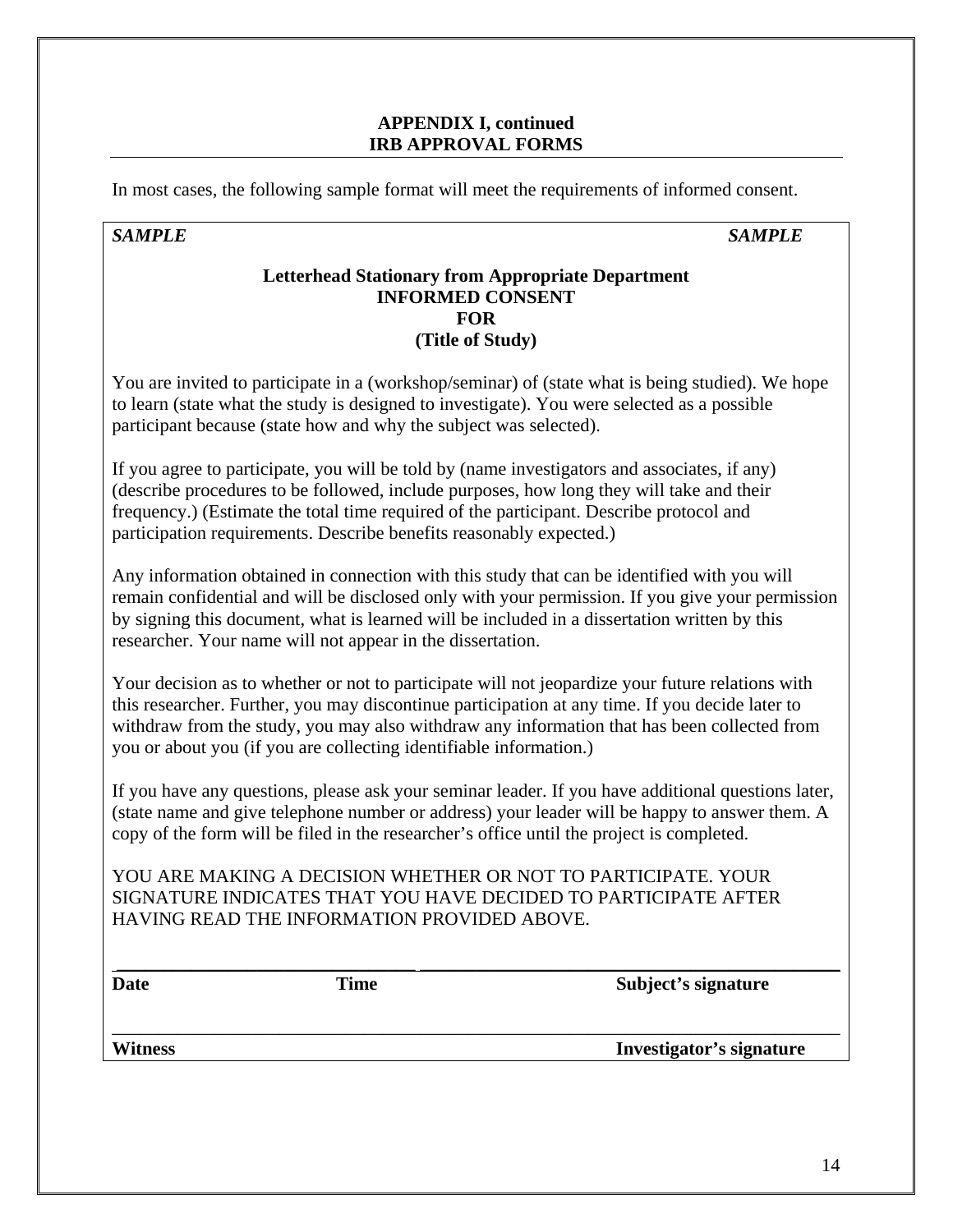In most cases, the following sample format will meet the requirements of informed consent.

#### *SAMPLE SAMPLE*

#### **Letterhead Stationary from Appropriate Department INFORMED CONSENT FOR (Title of Study)**

You are invited to participate in a (workshop/seminar) of (state what is being studied). We hope to learn (state what the study is designed to investigate). You were selected as a possible participant because (state how and why the subject was selected).

If you agree to participate, you will be told by (name investigators and associates, if any) (describe procedures to be followed, include purposes, how long they will take and their frequency.) (Estimate the total time required of the participant. Describe protocol and participation requirements. Describe benefits reasonably expected.)

Any information obtained in connection with this study that can be identified with you will remain confidential and will be disclosed only with your permission. If you give your permission by signing this document, what is learned will be included in a dissertation written by this researcher. Your name will not appear in the dissertation.

Your decision as to whether or not to participate will not jeopardize your future relations with this researcher. Further, you may discontinue participation at any time. If you decide later to withdraw from the study, you may also withdraw any information that has been collected from you or about you (if you are collecting identifiable information.)

If you have any questions, please ask your seminar leader. If you have additional questions later, (state name and give telephone number or address) your leader will be happy to answer them. A copy of the form will be filed in the researcher's office until the project is completed.

\_\_\_\_\_\_\_\_\_\_\_\_\_\_\_\_\_\_\_\_\_\_\_\_\_\_\_\_\_\_\_\_ \_\_\_\_\_\_\_\_\_\_\_\_\_\_\_\_\_\_\_\_\_\_\_\_\_\_\_\_\_\_\_\_\_\_\_\_\_\_\_\_\_\_\_\_\_

\_\_\_\_\_\_\_\_\_\_\_\_\_\_\_\_\_\_\_\_\_\_\_\_\_\_\_\_\_\_\_\_\_\_\_\_\_\_\_\_\_\_\_\_\_\_\_\_\_\_\_\_\_\_\_\_\_\_\_\_\_\_\_\_\_\_\_\_\_\_\_\_\_\_\_\_\_\_

YOU ARE MAKING A DECISION WHETHER OR NOT TO PARTICIPATE. YOUR SIGNATURE INDICATES THAT YOU HAVE DECIDED TO PARTICIPATE AFTER HAVING READ THE INFORMATION PROVIDED ABOVE.

**Date** Time Subject's signature

**Witness Investigator's signature**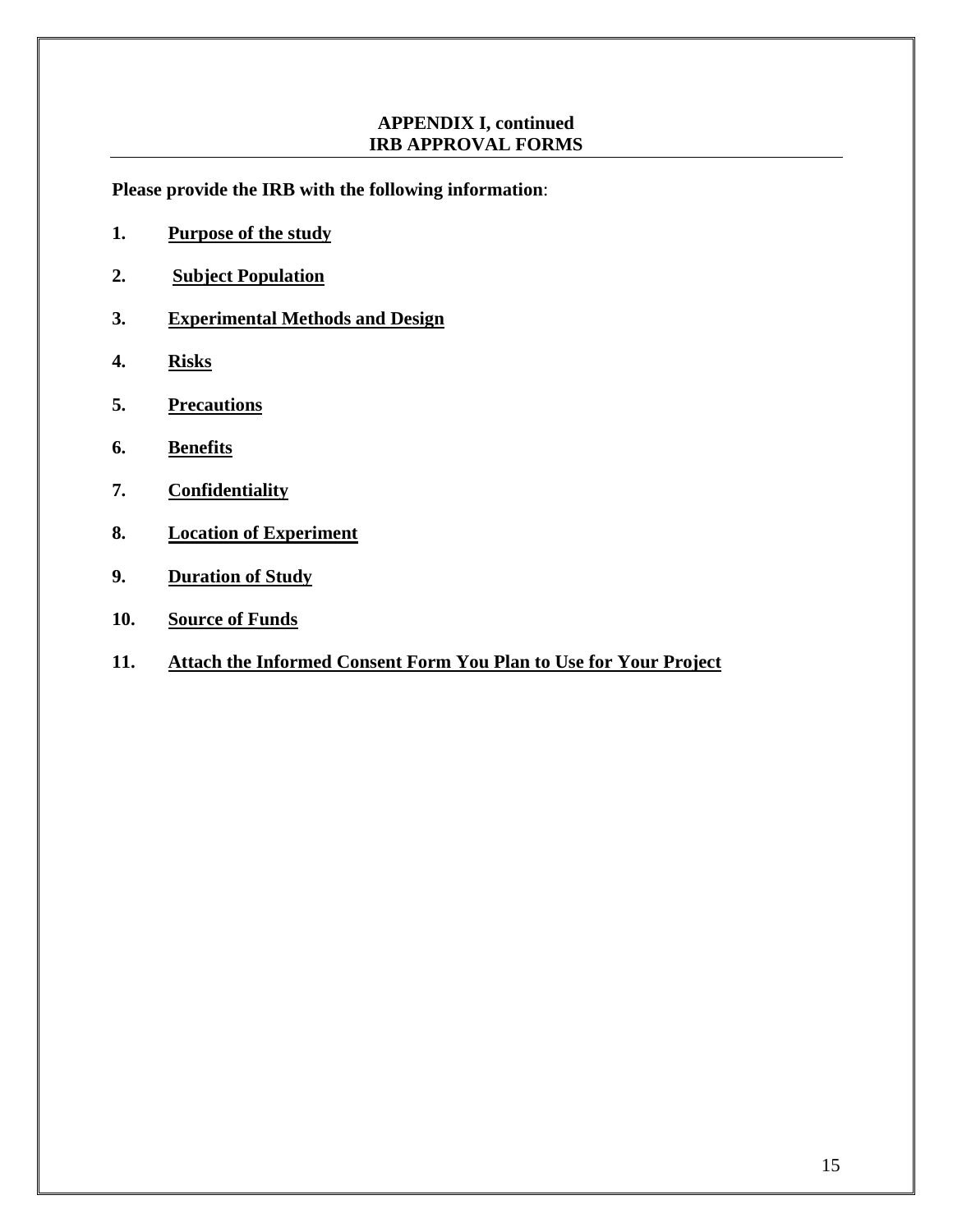**Please provide the IRB with the following information**:

- **1. Purpose of the study**
- **2. Subject Population**
- **3. Experimental Methods and Design**
- **4. Risks**
- **5. Precautions**
- **6. Benefits**
- **7. Confidentiality**
- **8. Location of Experiment**
- **9. Duration of Study**
- **10. Source of Funds**
- **11. Attach the Informed Consent Form You Plan to Use for Your Project**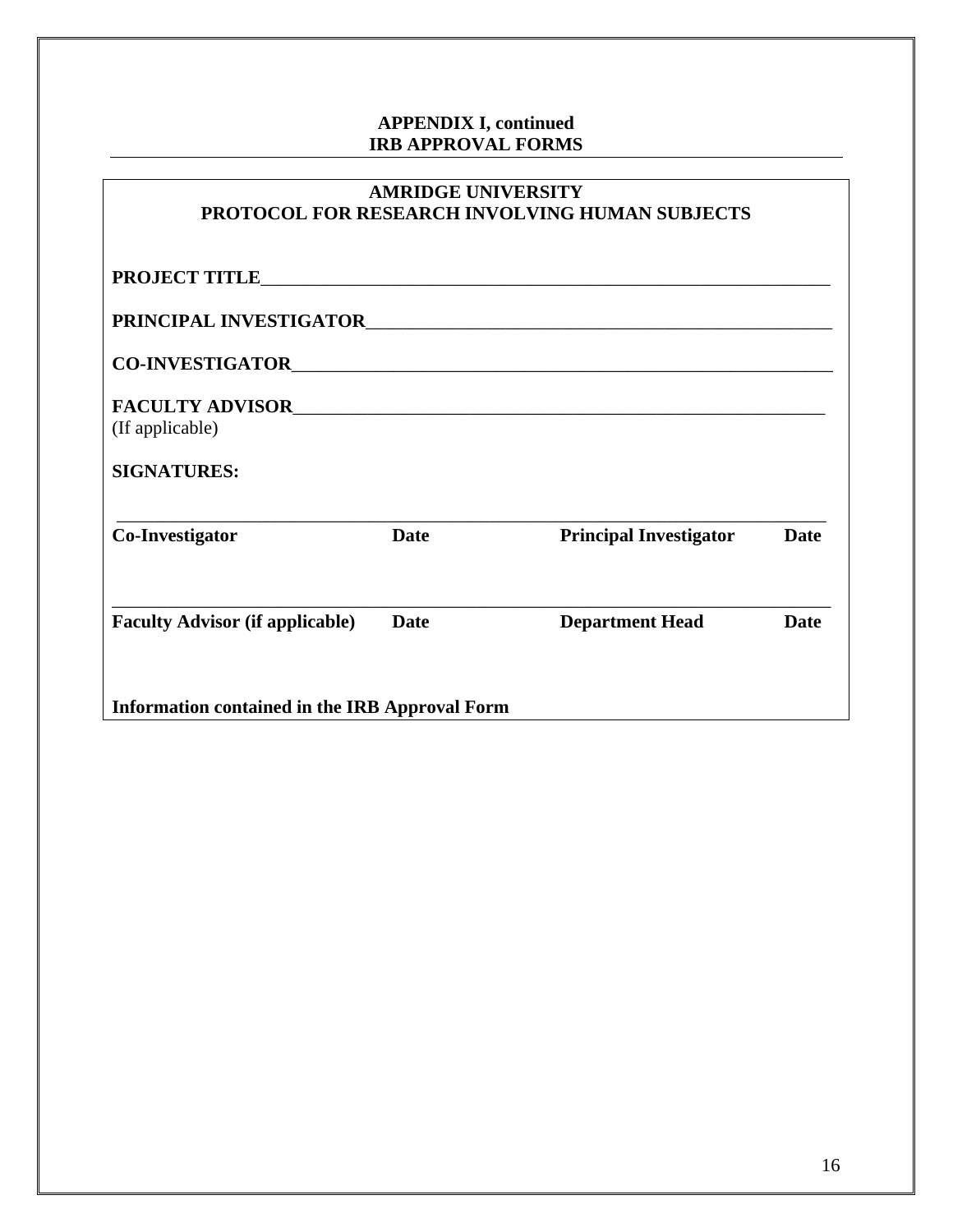| <b>AMRIDGE UNIVERSITY</b><br>PROTOCOL FOR RESEARCH INVOLVING HUMAN SUBJECTS |             |                               |             |  |  |
|-----------------------------------------------------------------------------|-------------|-------------------------------|-------------|--|--|
|                                                                             |             |                               |             |  |  |
|                                                                             |             | PRINCIPAL INVESTIGATOR        |             |  |  |
|                                                                             |             |                               |             |  |  |
| (If applicable)                                                             |             |                               |             |  |  |
| <b>SIGNATURES:</b>                                                          |             |                               |             |  |  |
| Co-Investigator                                                             | <b>Date</b> | <b>Principal Investigator</b> | Date        |  |  |
| <b>Faculty Advisor (if applicable)</b>                                      | <b>Date</b> | <b>Department Head</b>        | <b>Date</b> |  |  |
| <b>Information contained in the IRB Approval Form</b>                       |             |                               |             |  |  |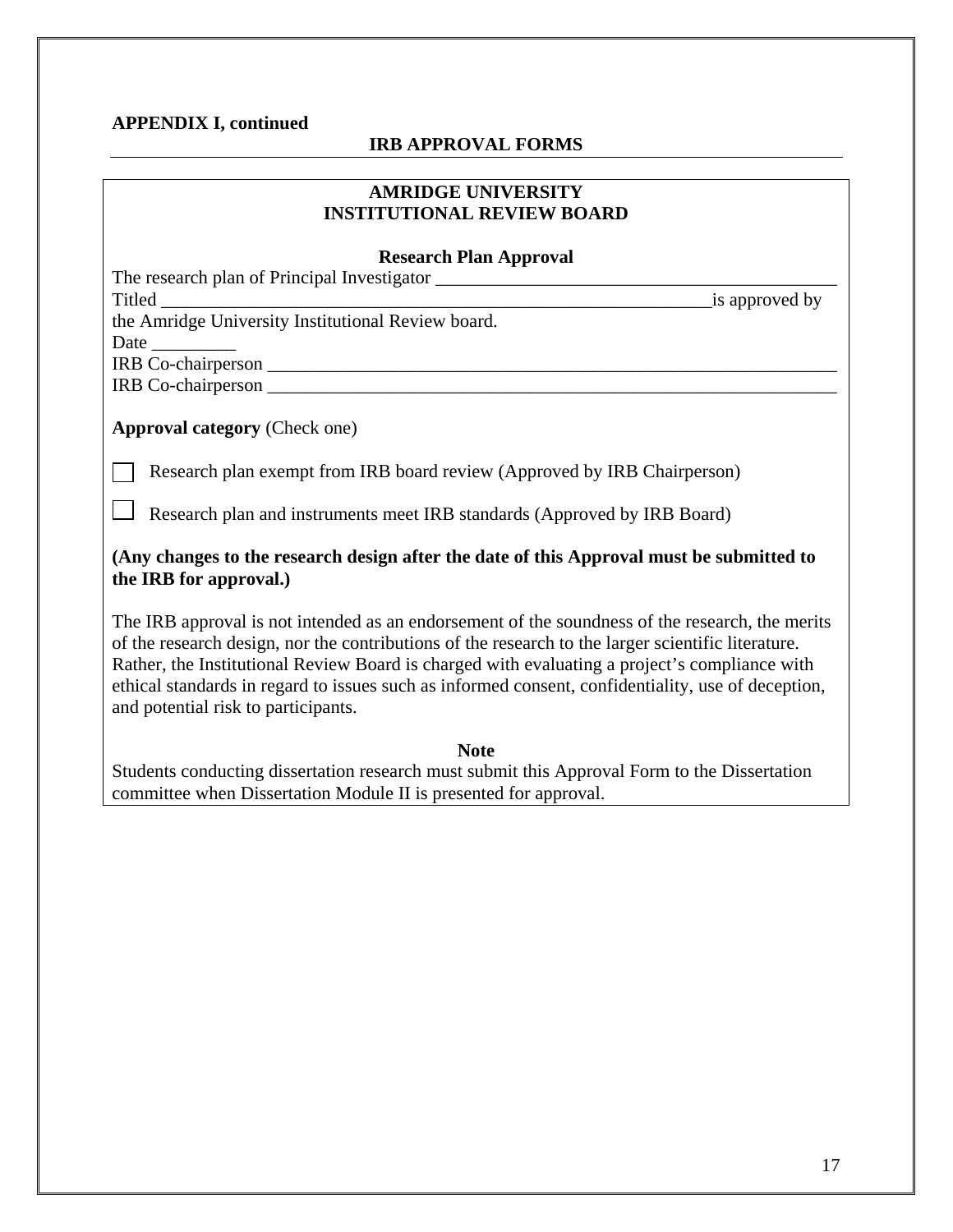#### **APPENDIX I, continued**

#### **IRB APPROVAL FORMS**

#### **AMRIDGE UNIVERSITY INSTITUTIONAL REVIEW BOARD**

#### **Research Plan Approval**

The research plan of Principal Investigator \_\_\_\_\_\_\_\_\_\_\_\_\_\_\_\_\_\_\_\_\_\_\_\_\_\_\_\_\_\_\_\_\_\_\_\_\_\_\_\_\_\_\_

Titled \_\_\_\_\_\_\_\_\_\_\_\_\_\_\_\_\_\_\_\_\_\_\_\_\_\_\_\_\_\_\_\_\_\_\_\_\_\_\_\_\_\_\_\_\_\_\_\_\_\_\_\_\_\_\_\_\_\_\_is approved by

the Amridge University Institutional Review board.

Date \_\_\_\_\_\_\_\_\_

IRB Co-chairperson \_\_\_\_\_\_\_\_\_\_\_\_\_\_\_\_\_\_\_\_\_\_\_\_\_\_\_\_\_\_\_\_\_\_\_\_\_\_\_\_\_\_\_\_\_\_\_\_\_\_\_\_\_\_\_\_\_\_\_\_\_

IRB Co-chairperson \_\_\_\_\_\_\_\_\_\_\_\_\_\_\_\_\_\_\_\_\_\_\_\_\_\_\_\_\_\_\_\_\_\_\_\_\_\_\_\_\_\_\_\_\_\_\_\_\_\_\_\_\_\_\_\_\_\_\_\_\_

**Approval category** (Check one)

Research plan exempt from IRB board review (Approved by IRB Chairperson)

Research plan and instruments meet IRB standards (Approved by IRB Board)

#### **(Any changes to the research design after the date of this Approval must be submitted to the IRB for approval.)**

The IRB approval is not intended as an endorsement of the soundness of the research, the merits of the research design, nor the contributions of the research to the larger scientific literature. Rather, the Institutional Review Board is charged with evaluating a project's compliance with ethical standards in regard to issues such as informed consent, confidentiality, use of deception, and potential risk to participants.

**Note**  Students conducting dissertation research must submit this Approval Form to the Dissertation committee when Dissertation Module II is presented for approval.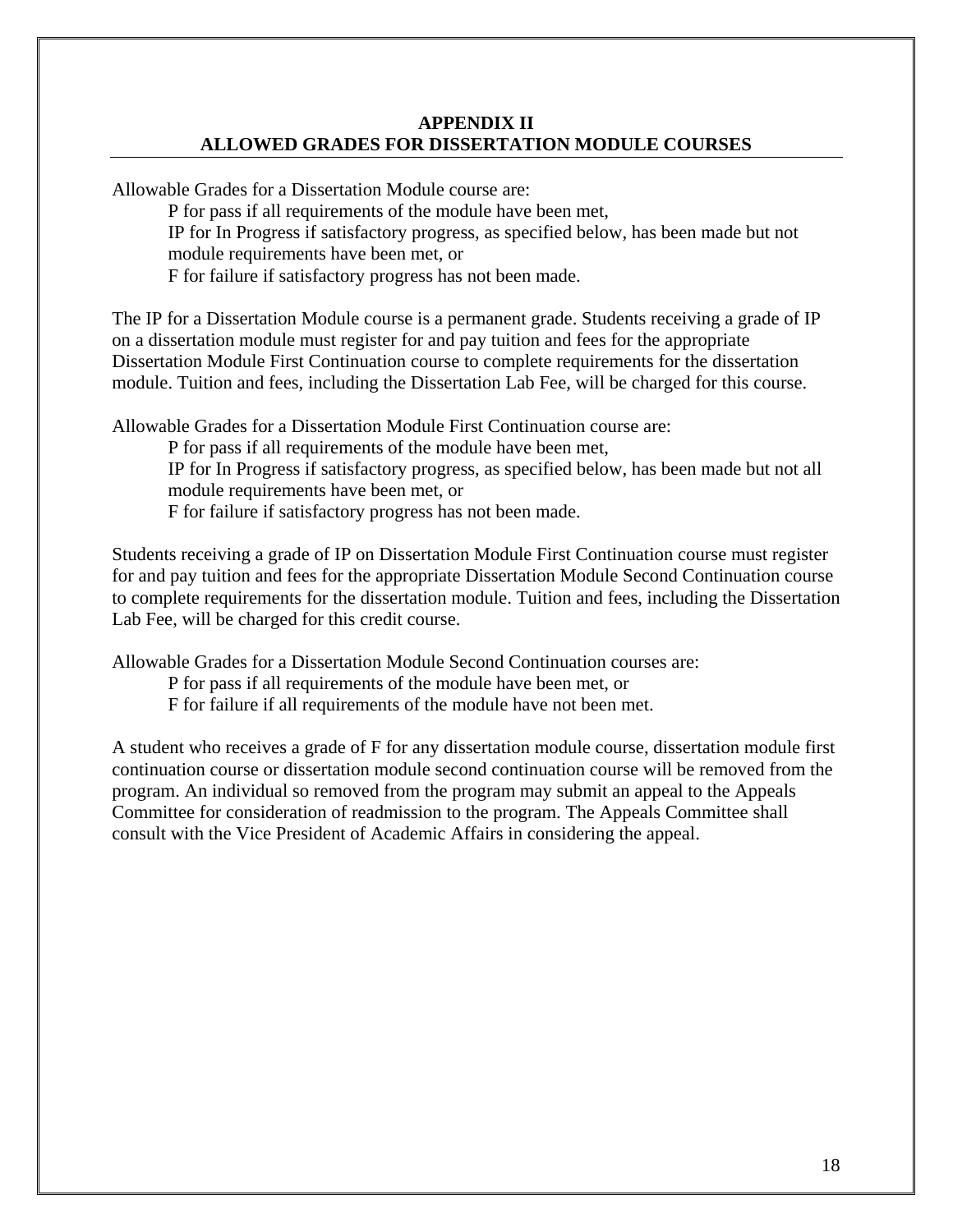#### **APPENDIX II ALLOWED GRADES FOR DISSERTATION MODULE COURSES**

Allowable Grades for a Dissertation Module course are: P for pass if all requirements of the module have been met, IP for In Progress if satisfactory progress, as specified below, has been made but not module requirements have been met, or

F for failure if satisfactory progress has not been made.

The IP for a Dissertation Module course is a permanent grade. Students receiving a grade of IP on a dissertation module must register for and pay tuition and fees for the appropriate Dissertation Module First Continuation course to complete requirements for the dissertation module. Tuition and fees, including the Dissertation Lab Fee, will be charged for this course.

Allowable Grades for a Dissertation Module First Continuation course are:

P for pass if all requirements of the module have been met,

IP for In Progress if satisfactory progress, as specified below, has been made but not all module requirements have been met, or

F for failure if satisfactory progress has not been made.

Students receiving a grade of IP on Dissertation Module First Continuation course must register for and pay tuition and fees for the appropriate Dissertation Module Second Continuation course to complete requirements for the dissertation module. Tuition and fees, including the Dissertation Lab Fee, will be charged for this credit course.

Allowable Grades for a Dissertation Module Second Continuation courses are:

P for pass if all requirements of the module have been met, or

F for failure if all requirements of the module have not been met.

A student who receives a grade of F for any dissertation module course, dissertation module first continuation course or dissertation module second continuation course will be removed from the program. An individual so removed from the program may submit an appeal to the Appeals Committee for consideration of readmission to the program. The Appeals Committee shall consult with the Vice President of Academic Affairs in considering the appeal.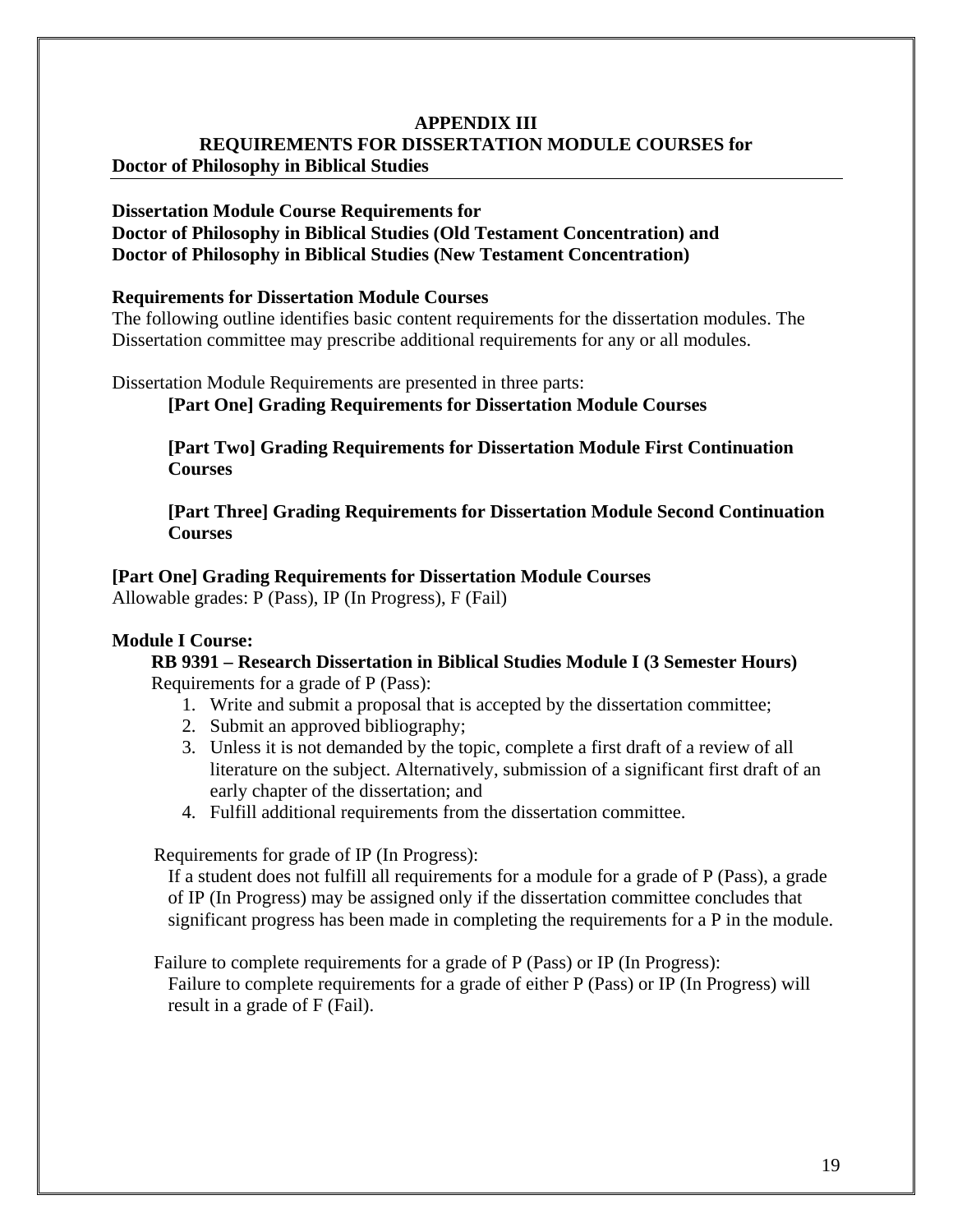#### **Dissertation Module Course Requirements for**

#### **Doctor of Philosophy in Biblical Studies (Old Testament Concentration) and Doctor of Philosophy in Biblical Studies (New Testament Concentration)**

#### **Requirements for Dissertation Module Courses**

The following outline identifies basic content requirements for the dissertation modules. The Dissertation committee may prescribe additional requirements for any or all modules.

Dissertation Module Requirements are presented in three parts:

**[Part One] Grading Requirements for Dissertation Module Courses** 

**[Part Two] Grading Requirements for Dissertation Module First Continuation Courses** 

**[Part Three] Grading Requirements for Dissertation Module Second Continuation Courses** 

#### **[Part One] Grading Requirements for Dissertation Module Courses**

Allowable grades: P (Pass), IP (In Progress), F (Fail)

#### **Module I Course:**

**RB 9391 – Research Dissertation in Biblical Studies Module I (3 Semester Hours)** Requirements for a grade of P (Pass):

- 1. Write and submit a proposal that is accepted by the dissertation committee;
- 2. Submit an approved bibliography;
- 3. Unless it is not demanded by the topic, complete a first draft of a review of all literature on the subject. Alternatively, submission of a significant first draft of an early chapter of the dissertation; and
- 4. Fulfill additional requirements from the dissertation committee.

Requirements for grade of IP (In Progress):

If a student does not fulfill all requirements for a module for a grade of P (Pass), a grade of IP (In Progress) may be assigned only if the dissertation committee concludes that significant progress has been made in completing the requirements for a P in the module.

Failure to complete requirements for a grade of P (Pass) or IP (In Progress): Failure to complete requirements for a grade of either P (Pass) or IP (In Progress) will result in a grade of F (Fail).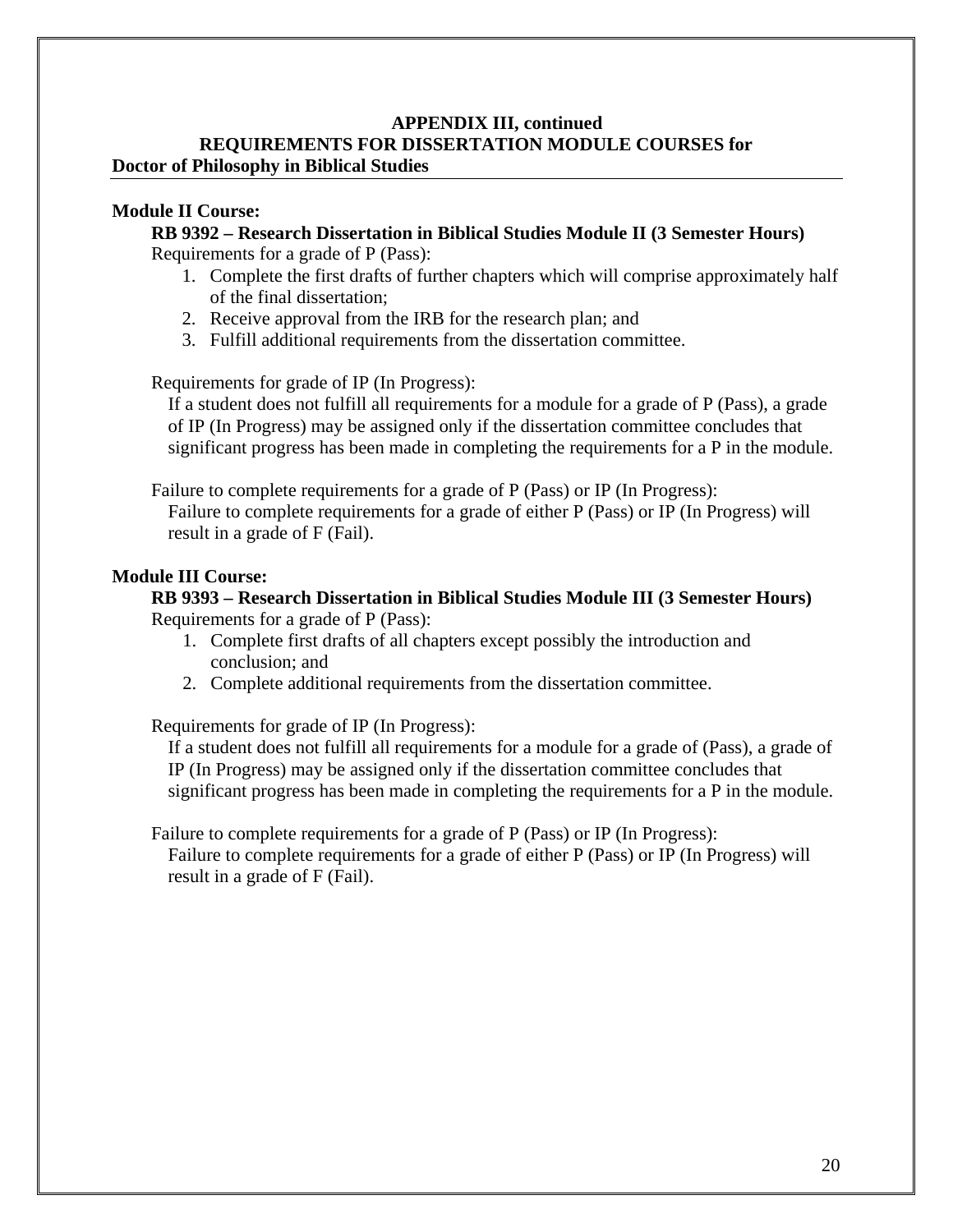#### **Module II Course:**

**RB 9392 – Research Dissertation in Biblical Studies Module II (3 Semester Hours)** Requirements for a grade of P (Pass):

- 1. Complete the first drafts of further chapters which will comprise approximately half of the final dissertation;
- 2. Receive approval from the IRB for the research plan; and
- 3. Fulfill additional requirements from the dissertation committee.

Requirements for grade of IP (In Progress):

If a student does not fulfill all requirements for a module for a grade of P (Pass), a grade of IP (In Progress) may be assigned only if the dissertation committee concludes that significant progress has been made in completing the requirements for a P in the module.

Failure to complete requirements for a grade of P (Pass) or IP (In Progress): Failure to complete requirements for a grade of either P (Pass) or IP (In Progress) will result in a grade of F (Fail).

#### **Module III Course:**

#### **RB 9393 – Research Dissertation in Biblical Studies Module III (3 Semester Hours)** Requirements for a grade of P (Pass):

- 1. Complete first drafts of all chapters except possibly the introduction and conclusion; and
- 2. Complete additional requirements from the dissertation committee.

Requirements for grade of IP (In Progress):

If a student does not fulfill all requirements for a module for a grade of (Pass), a grade of IP (In Progress) may be assigned only if the dissertation committee concludes that significant progress has been made in completing the requirements for a P in the module.

Failure to complete requirements for a grade of P (Pass) or IP (In Progress): Failure to complete requirements for a grade of either P (Pass) or IP (In Progress) will

result in a grade of F (Fail).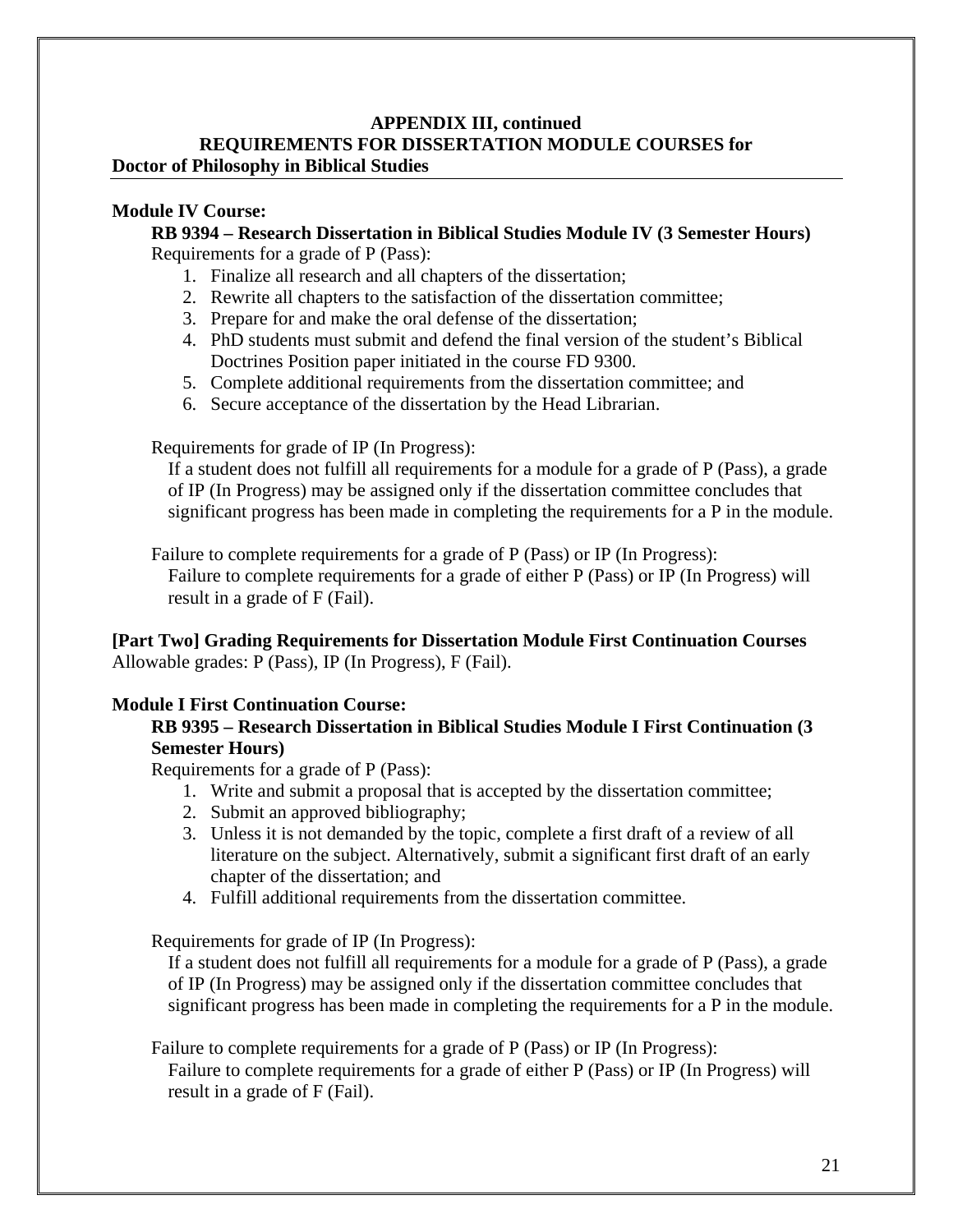#### **Module IV Course:**

**RB 9394 – Research Dissertation in Biblical Studies Module IV (3 Semester Hours)** Requirements for a grade of P (Pass):

- 1. Finalize all research and all chapters of the dissertation;
- 2. Rewrite all chapters to the satisfaction of the dissertation committee;
- 3. Prepare for and make the oral defense of the dissertation;
- 4. PhD students must submit and defend the final version of the student's Biblical Doctrines Position paper initiated in the course FD 9300.
- 5. Complete additional requirements from the dissertation committee; and
- 6. Secure acceptance of the dissertation by the Head Librarian.

Requirements for grade of IP (In Progress):

If a student does not fulfill all requirements for a module for a grade of P (Pass), a grade of IP (In Progress) may be assigned only if the dissertation committee concludes that significant progress has been made in completing the requirements for a P in the module.

Failure to complete requirements for a grade of P (Pass) or IP (In Progress): Failure to complete requirements for a grade of either P (Pass) or IP (In Progress) will result in a grade of F (Fail).

#### **[Part Two] Grading Requirements for Dissertation Module First Continuation Courses** Allowable grades: P (Pass), IP (In Progress), F (Fail).

#### **Module I First Continuation Course:**

#### **RB 9395 – Research Dissertation in Biblical Studies Module I First Continuation (3 Semester Hours)**

Requirements for a grade of P (Pass):

- 1. Write and submit a proposal that is accepted by the dissertation committee;
- 2. Submit an approved bibliography;
- 3. Unless it is not demanded by the topic, complete a first draft of a review of all literature on the subject. Alternatively, submit a significant first draft of an early chapter of the dissertation; and
- 4. Fulfill additional requirements from the dissertation committee.

Requirements for grade of IP (In Progress):

If a student does not fulfill all requirements for a module for a grade of P (Pass), a grade of IP (In Progress) may be assigned only if the dissertation committee concludes that significant progress has been made in completing the requirements for a P in the module.

Failure to complete requirements for a grade of P (Pass) or IP (In Progress): Failure to complete requirements for a grade of either P (Pass) or IP (In Progress) will result in a grade of F (Fail).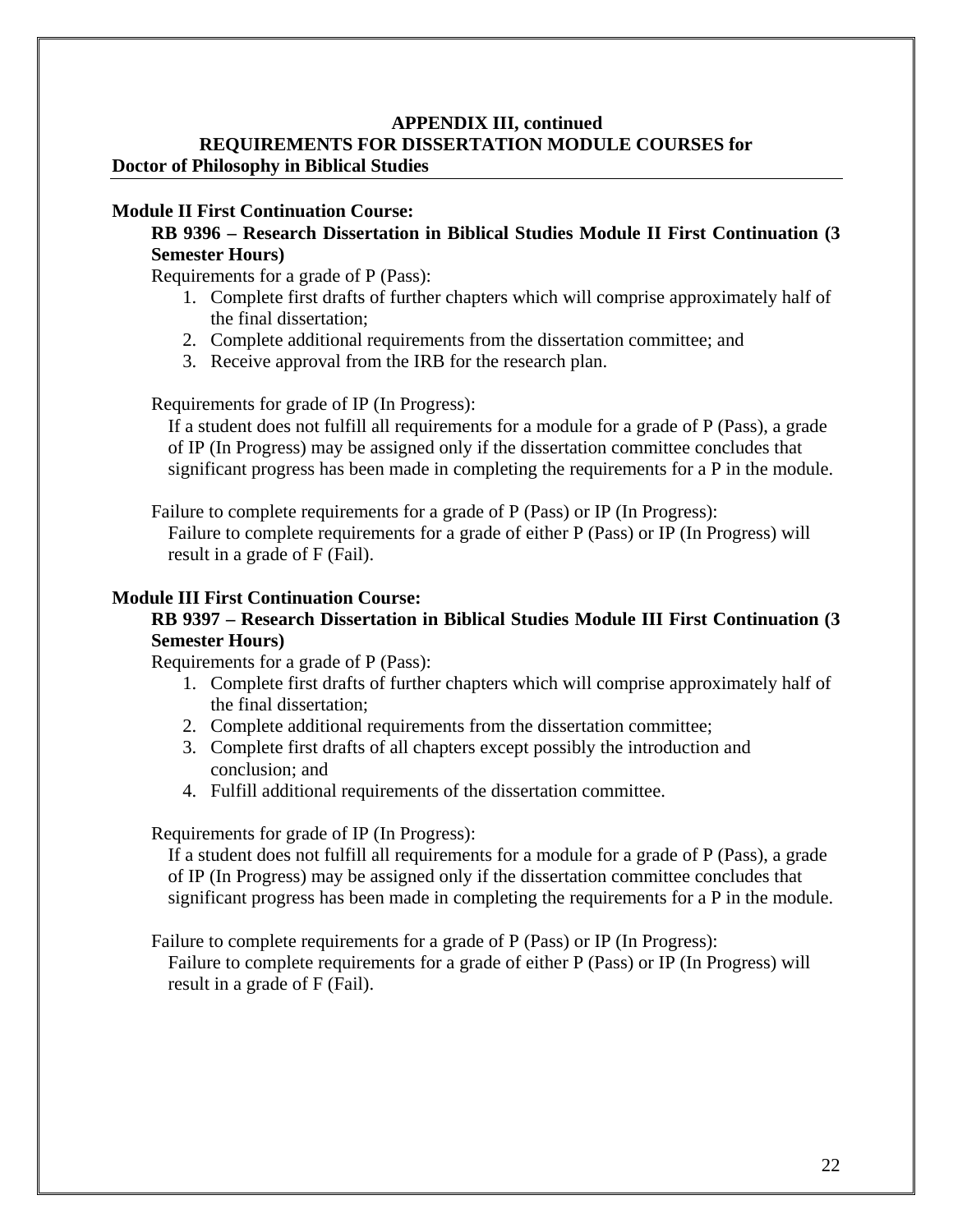#### **Module II First Continuation Course:**

#### **RB 9396 – Research Dissertation in Biblical Studies Module II First Continuation (3 Semester Hours)**

Requirements for a grade of P (Pass):

- 1. Complete first drafts of further chapters which will comprise approximately half of the final dissertation;
- 2. Complete additional requirements from the dissertation committee; and
- 3. Receive approval from the IRB for the research plan.

Requirements for grade of IP (In Progress):

If a student does not fulfill all requirements for a module for a grade of P (Pass), a grade of IP (In Progress) may be assigned only if the dissertation committee concludes that significant progress has been made in completing the requirements for a P in the module.

Failure to complete requirements for a grade of P (Pass) or IP (In Progress):

Failure to complete requirements for a grade of either P (Pass) or IP (In Progress) will result in a grade of F (Fail).

#### **Module III First Continuation Course:**

#### **RB 9397 – Research Dissertation in Biblical Studies Module III First Continuation (3 Semester Hours)**

Requirements for a grade of P (Pass):

- 1. Complete first drafts of further chapters which will comprise approximately half of the final dissertation;
- 2. Complete additional requirements from the dissertation committee;
- 3. Complete first drafts of all chapters except possibly the introduction and conclusion; and
- 4. Fulfill additional requirements of the dissertation committee.

Requirements for grade of IP (In Progress):

If a student does not fulfill all requirements for a module for a grade of P (Pass), a grade of IP (In Progress) may be assigned only if the dissertation committee concludes that significant progress has been made in completing the requirements for a P in the module.

Failure to complete requirements for a grade of P (Pass) or IP (In Progress):

Failure to complete requirements for a grade of either P (Pass) or IP (In Progress) will result in a grade of F (Fail).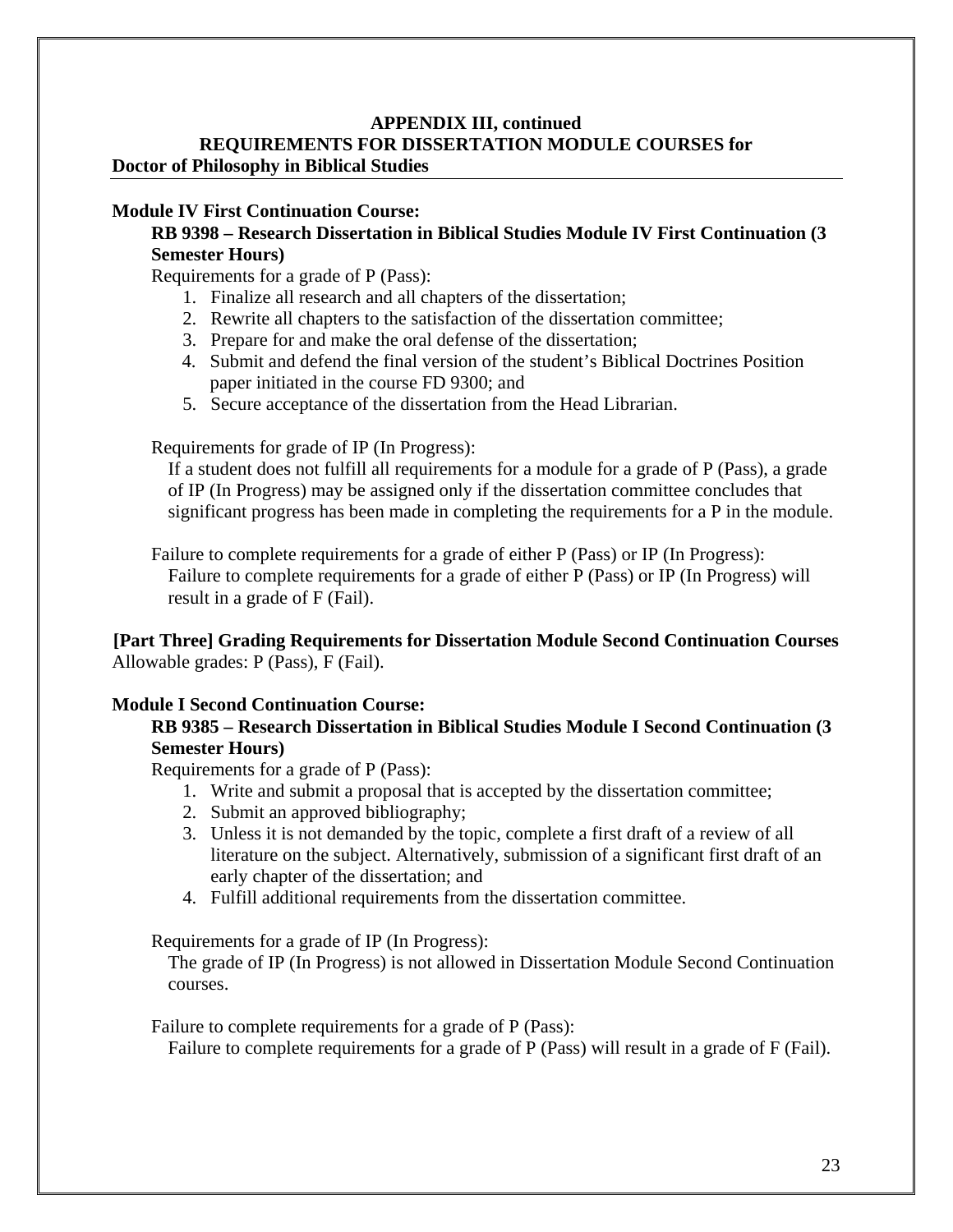#### **Module IV First Continuation Course:**

#### **RB 9398 – Research Dissertation in Biblical Studies Module IV First Continuation (3 Semester Hours)**

Requirements for a grade of P (Pass):

- 1. Finalize all research and all chapters of the dissertation;
- 2. Rewrite all chapters to the satisfaction of the dissertation committee;
- 3. Prepare for and make the oral defense of the dissertation;
- 4. Submit and defend the final version of the student's Biblical Doctrines Position paper initiated in the course FD 9300; and
- 5. Secure acceptance of the dissertation from the Head Librarian.

Requirements for grade of IP (In Progress):

If a student does not fulfill all requirements for a module for a grade of P (Pass), a grade of IP (In Progress) may be assigned only if the dissertation committee concludes that significant progress has been made in completing the requirements for a P in the module.

Failure to complete requirements for a grade of either P (Pass) or IP (In Progress): Failure to complete requirements for a grade of either P (Pass) or IP (In Progress) will result in a grade of F (Fail).

#### **[Part Three] Grading Requirements for Dissertation Module Second Continuation Courses** Allowable grades: P (Pass), F (Fail).

#### **Module I Second Continuation Course:**

#### **RB 9385 – Research Dissertation in Biblical Studies Module I Second Continuation (3 Semester Hours)**

Requirements for a grade of P (Pass):

- 1. Write and submit a proposal that is accepted by the dissertation committee;
- 2. Submit an approved bibliography;
- 3. Unless it is not demanded by the topic, complete a first draft of a review of all literature on the subject. Alternatively, submission of a significant first draft of an early chapter of the dissertation; and
- 4. Fulfill additional requirements from the dissertation committee.

Requirements for a grade of IP (In Progress):

The grade of IP (In Progress) is not allowed in Dissertation Module Second Continuation courses.

Failure to complete requirements for a grade of P (Pass):

Failure to complete requirements for a grade of P (Pass) will result in a grade of F (Fail).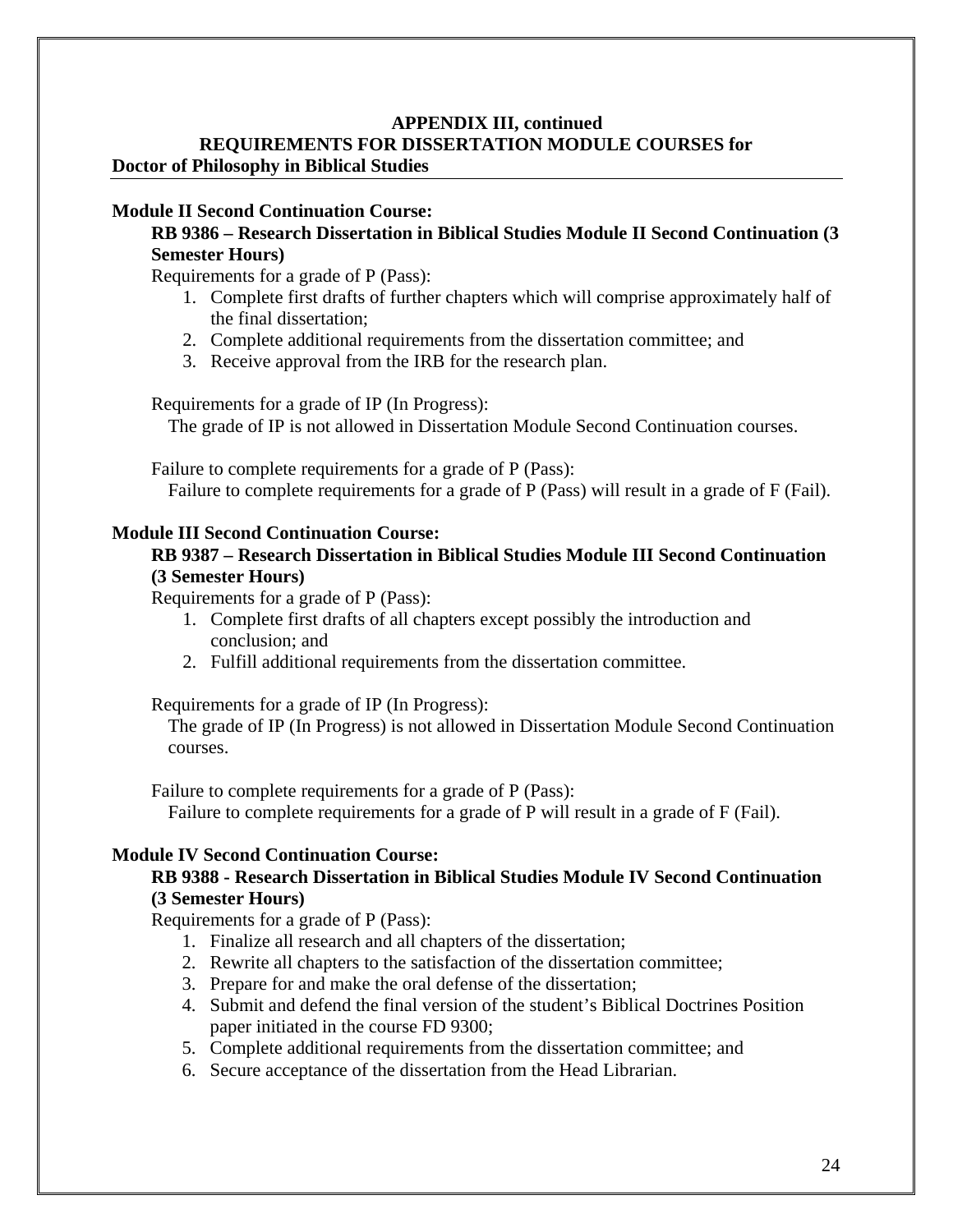#### **Module II Second Continuation Course:**

#### **RB 9386 – Research Dissertation in Biblical Studies Module II Second Continuation (3 Semester Hours)**

Requirements for a grade of P (Pass):

- 1. Complete first drafts of further chapters which will comprise approximately half of the final dissertation;
- 2. Complete additional requirements from the dissertation committee; and
- 3. Receive approval from the IRB for the research plan.

Requirements for a grade of IP (In Progress):

The grade of IP is not allowed in Dissertation Module Second Continuation courses.

Failure to complete requirements for a grade of P (Pass):

Failure to complete requirements for a grade of P (Pass) will result in a grade of F (Fail).

#### **Module III Second Continuation Course:**

#### **RB 9387 – Research Dissertation in Biblical Studies Module III Second Continuation (3 Semester Hours)**

Requirements for a grade of P (Pass):

- 1. Complete first drafts of all chapters except possibly the introduction and conclusion; and
- 2. Fulfill additional requirements from the dissertation committee.

Requirements for a grade of IP (In Progress):

The grade of IP (In Progress) is not allowed in Dissertation Module Second Continuation courses.

Failure to complete requirements for a grade of P (Pass):

Failure to complete requirements for a grade of P will result in a grade of F (Fail).

#### **Module IV Second Continuation Course:**

#### **RB 9388 - Research Dissertation in Biblical Studies Module IV Second Continuation (3 Semester Hours)**

- 1. Finalize all research and all chapters of the dissertation;
- 2. Rewrite all chapters to the satisfaction of the dissertation committee;
- 3. Prepare for and make the oral defense of the dissertation;
- 4. Submit and defend the final version of the student's Biblical Doctrines Position paper initiated in the course FD 9300;
- 5. Complete additional requirements from the dissertation committee; and
- 6. Secure acceptance of the dissertation from the Head Librarian.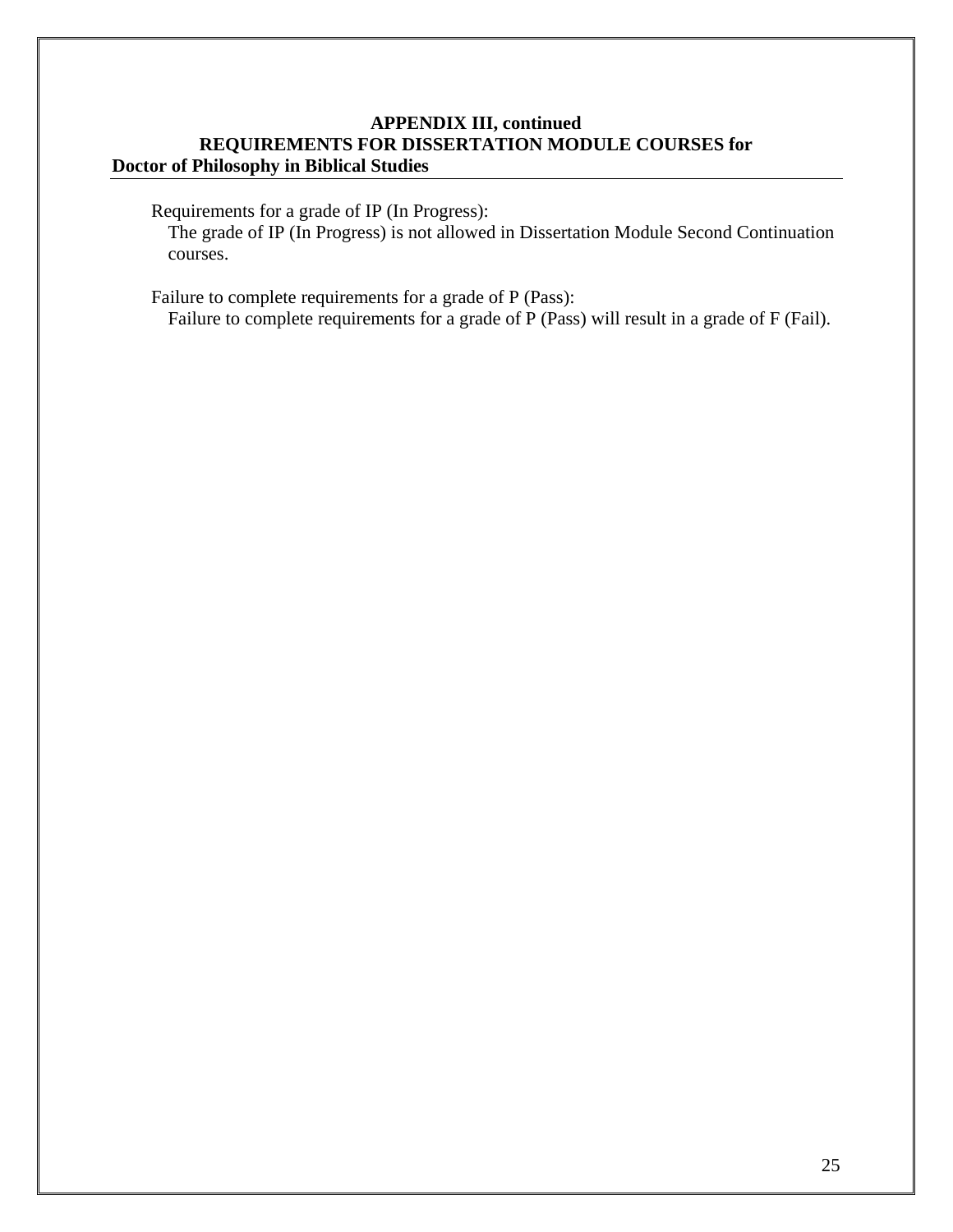Requirements for a grade of IP (In Progress):

The grade of IP (In Progress) is not allowed in Dissertation Module Second Continuation courses.

Failure to complete requirements for a grade of P (Pass): Failure to complete requirements for a grade of P (Pass) will result in a grade of F (Fail).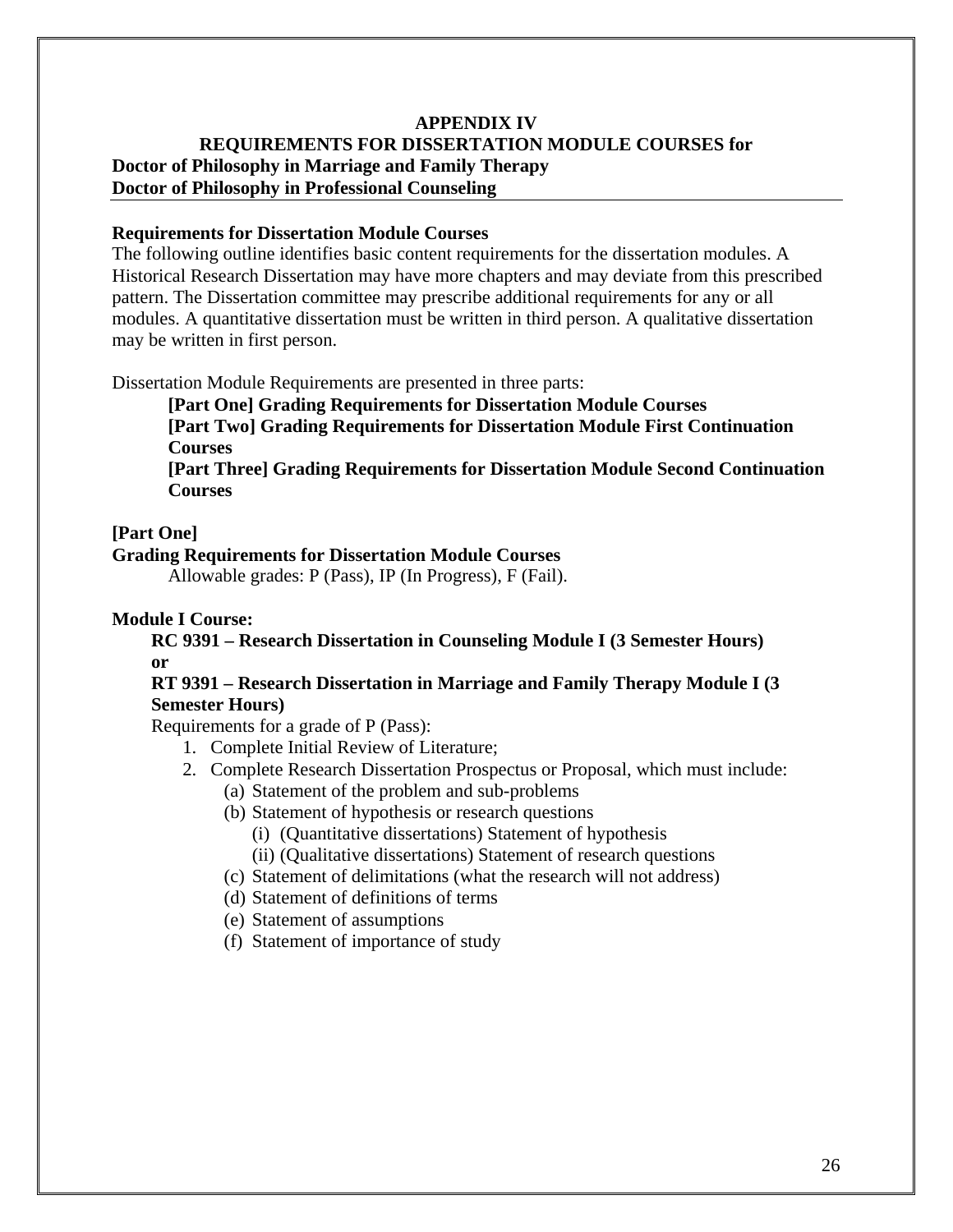#### **Requirements for Dissertation Module Courses**

The following outline identifies basic content requirements for the dissertation modules. A Historical Research Dissertation may have more chapters and may deviate from this prescribed pattern. The Dissertation committee may prescribe additional requirements for any or all modules. A quantitative dissertation must be written in third person. A qualitative dissertation may be written in first person.

Dissertation Module Requirements are presented in three parts:

**[Part One] Grading Requirements for Dissertation Module Courses** 

**[Part Two] Grading Requirements for Dissertation Module First Continuation Courses** 

**[Part Three] Grading Requirements for Dissertation Module Second Continuation Courses**

#### **[Part One]**

#### **Grading Requirements for Dissertation Module Courses**

Allowable grades: P (Pass), IP (In Progress), F (Fail).

#### **Module I Course:**

#### **RC 9391 – Research Dissertation in Counseling Module I (3 Semester Hours) or**

#### **RT 9391 – Research Dissertation in Marriage and Family Therapy Module I (3 Semester Hours)**

- 1. Complete Initial Review of Literature;
- 2. Complete Research Dissertation Prospectus or Proposal, which must include:
	- (a) Statement of the problem and sub-problems
	- (b) Statement of hypothesis or research questions
		- (i) (Quantitative dissertations) Statement of hypothesis
		- (ii) (Qualitative dissertations) Statement of research questions
	- (c) Statement of delimitations (what the research will not address)
	- (d) Statement of definitions of terms
	- (e) Statement of assumptions
	- (f) Statement of importance of study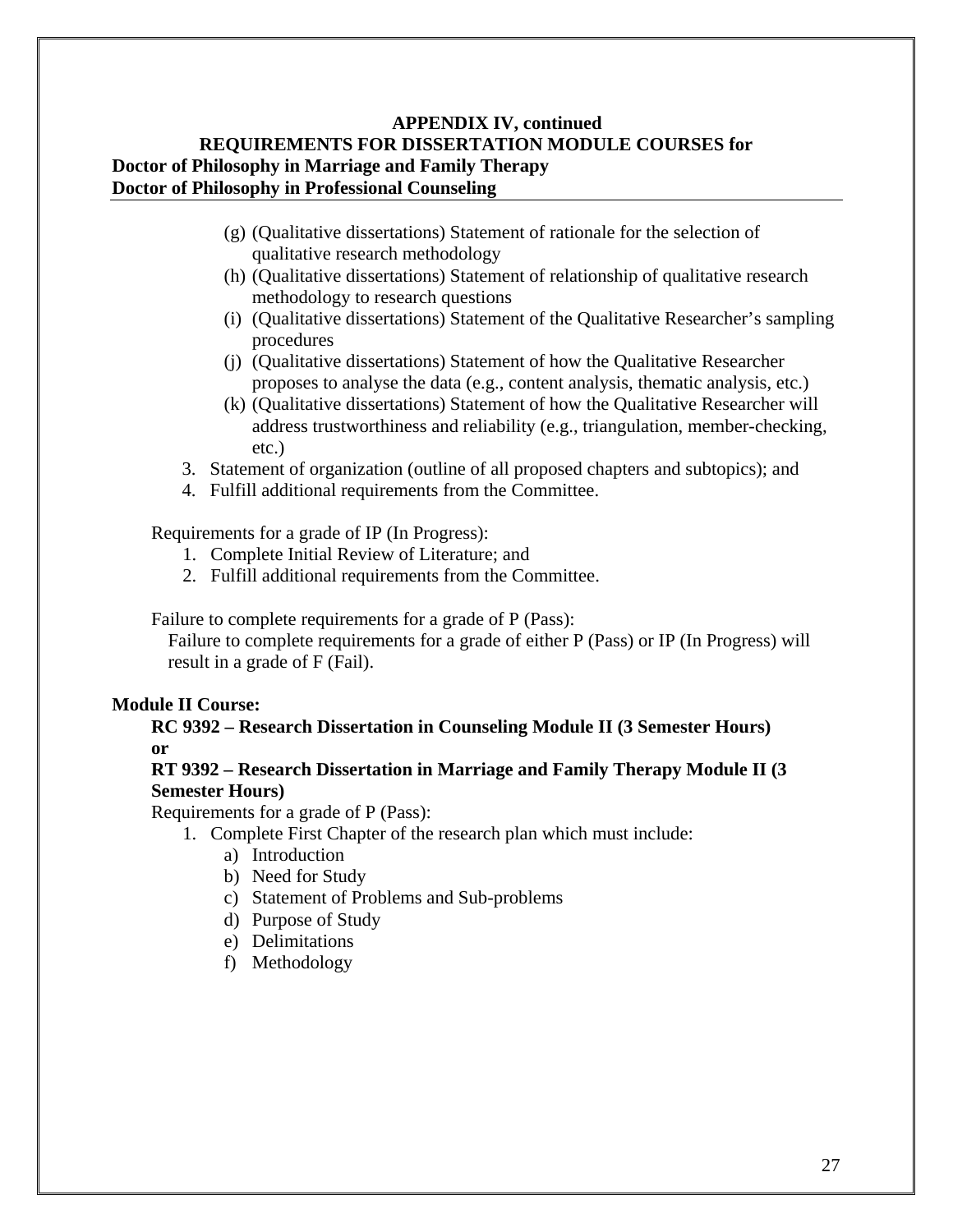- (g) (Qualitative dissertations) Statement of rationale for the selection of qualitative research methodology
- (h) (Qualitative dissertations) Statement of relationship of qualitative research methodology to research questions
- (i) (Qualitative dissertations) Statement of the Qualitative Researcher's sampling procedures
- (j) (Qualitative dissertations) Statement of how the Qualitative Researcher proposes to analyse the data (e.g., content analysis, thematic analysis, etc.)
- (k) (Qualitative dissertations) Statement of how the Qualitative Researcher will address trustworthiness and reliability (e.g., triangulation, member-checking, etc.)
- 3. Statement of organization (outline of all proposed chapters and subtopics); and
- 4. Fulfill additional requirements from the Committee.

Requirements for a grade of IP (In Progress):

- 1. Complete Initial Review of Literature; and
- 2. Fulfill additional requirements from the Committee.

Failure to complete requirements for a grade of P (Pass):

Failure to complete requirements for a grade of either P (Pass) or IP (In Progress) will result in a grade of F (Fail).

#### **Module II Course:**

**RC 9392 – Research Dissertation in Counseling Module II (3 Semester Hours) or**

#### **RT 9392 – Research Dissertation in Marriage and Family Therapy Module II (3 Semester Hours)**

- 1. Complete First Chapter of the research plan which must include:
	- a) Introduction
	- b) Need for Study
	- c) Statement of Problems and Sub-problems
	- d) Purpose of Study
	- e) Delimitations
	- f) Methodology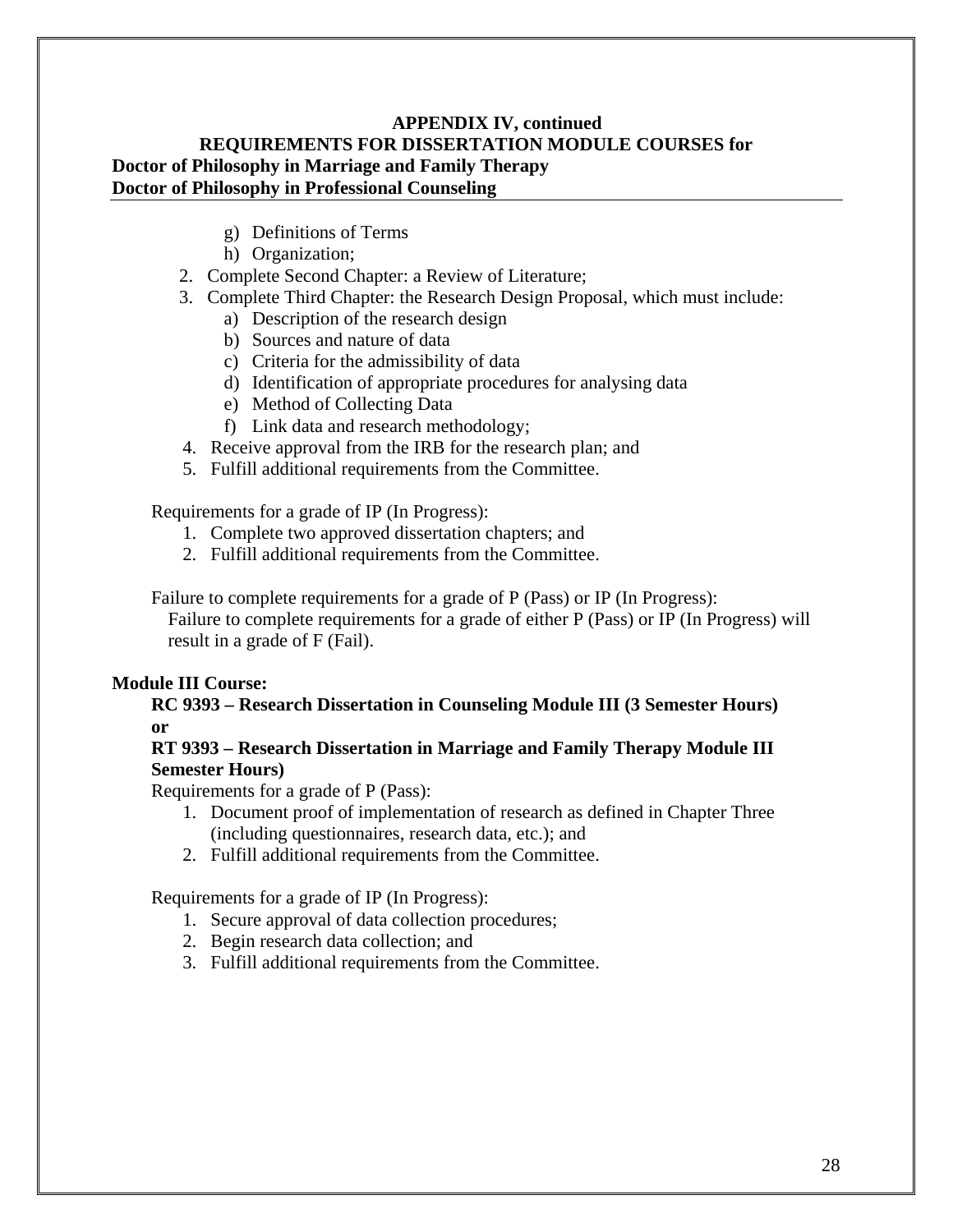- g) Definitions of Terms
- h) Organization;
- 2. Complete Second Chapter: a Review of Literature;
- 3. Complete Third Chapter: the Research Design Proposal, which must include:
	- a) Description of the research design
	- b) Sources and nature of data
	- c) Criteria for the admissibility of data
	- d) Identification of appropriate procedures for analysing data
	- e) Method of Collecting Data
	- f) Link data and research methodology;
- 4. Receive approval from the IRB for the research plan; and
- 5. Fulfill additional requirements from the Committee.

Requirements for a grade of IP (In Progress):

- 1. Complete two approved dissertation chapters; and
- 2. Fulfill additional requirements from the Committee.

Failure to complete requirements for a grade of P (Pass) or IP (In Progress):

Failure to complete requirements for a grade of either P (Pass) or IP (In Progress) will result in a grade of F (Fail).

#### **Module III Course:**

**RC 9393 – Research Dissertation in Counseling Module III (3 Semester Hours) or** 

#### **RT 9393 – Research Dissertation in Marriage and Family Therapy Module III Semester Hours)**

Requirements for a grade of P (Pass):

- 1. Document proof of implementation of research as defined in Chapter Three (including questionnaires, research data, etc.); and
- 2. Fulfill additional requirements from the Committee.

Requirements for a grade of IP (In Progress):

- 1. Secure approval of data collection procedures;
- 2. Begin research data collection; and
- 3. Fulfill additional requirements from the Committee.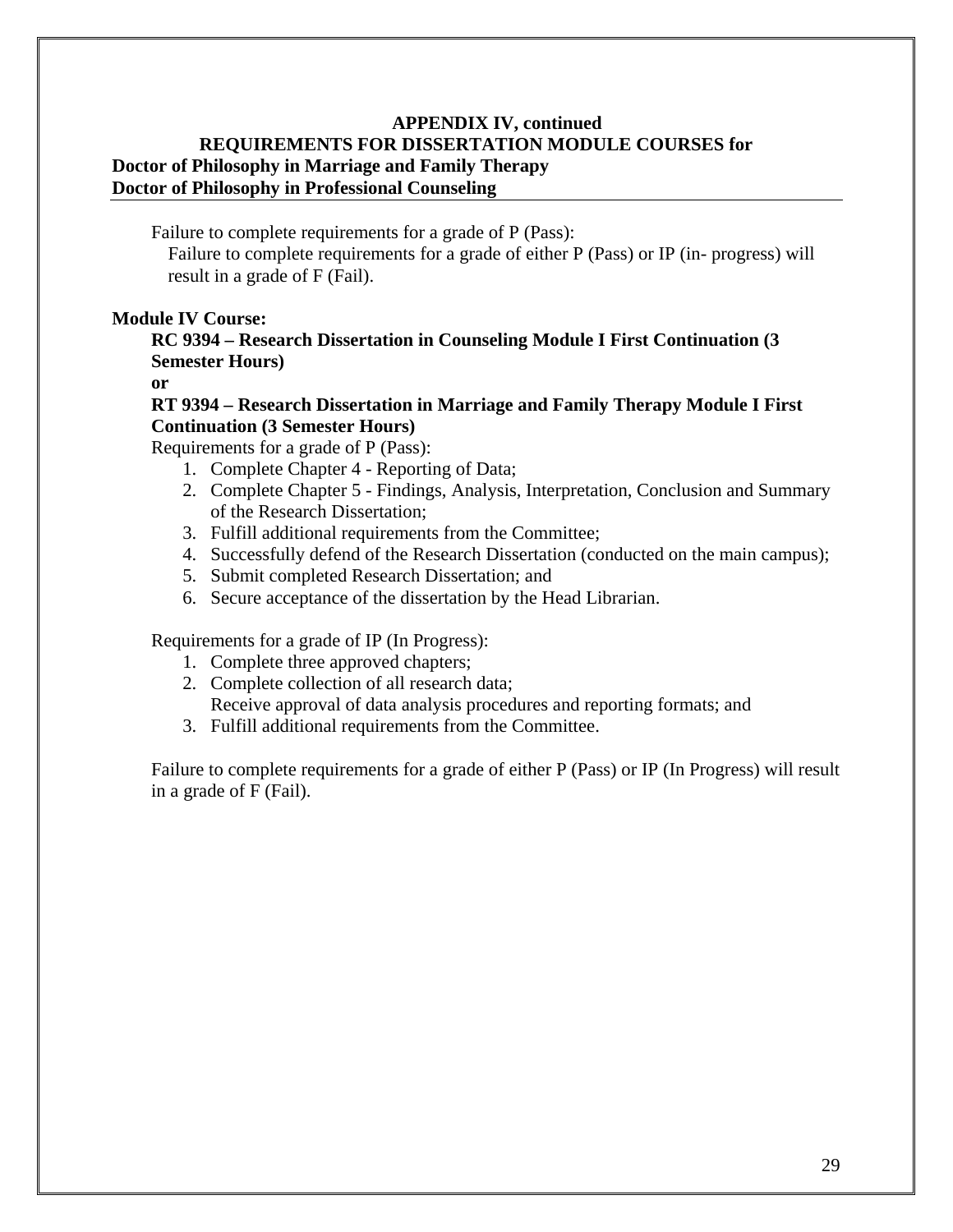Failure to complete requirements for a grade of P (Pass):

Failure to complete requirements for a grade of either P (Pass) or IP (in- progress) will result in a grade of F (Fail).

#### **Module IV Course:**

#### **RC 9394 – Research Dissertation in Counseling Module I First Continuation (3 Semester Hours)**

**or** 

#### **RT 9394 – Research Dissertation in Marriage and Family Therapy Module I First Continuation (3 Semester Hours)**

Requirements for a grade of P (Pass):

- 1. Complete Chapter 4 Reporting of Data;
- 2. Complete Chapter 5 Findings, Analysis, Interpretation, Conclusion and Summary of the Research Dissertation;
- 3. Fulfill additional requirements from the Committee;
- 4. Successfully defend of the Research Dissertation (conducted on the main campus);
- 5. Submit completed Research Dissertation; and
- 6. Secure acceptance of the dissertation by the Head Librarian.

Requirements for a grade of IP (In Progress):

- 1. Complete three approved chapters;
- 2. Complete collection of all research data; Receive approval of data analysis procedures and reporting formats; and
- 3. Fulfill additional requirements from the Committee.

Failure to complete requirements for a grade of either P (Pass) or IP (In Progress) will result in a grade of F (Fail).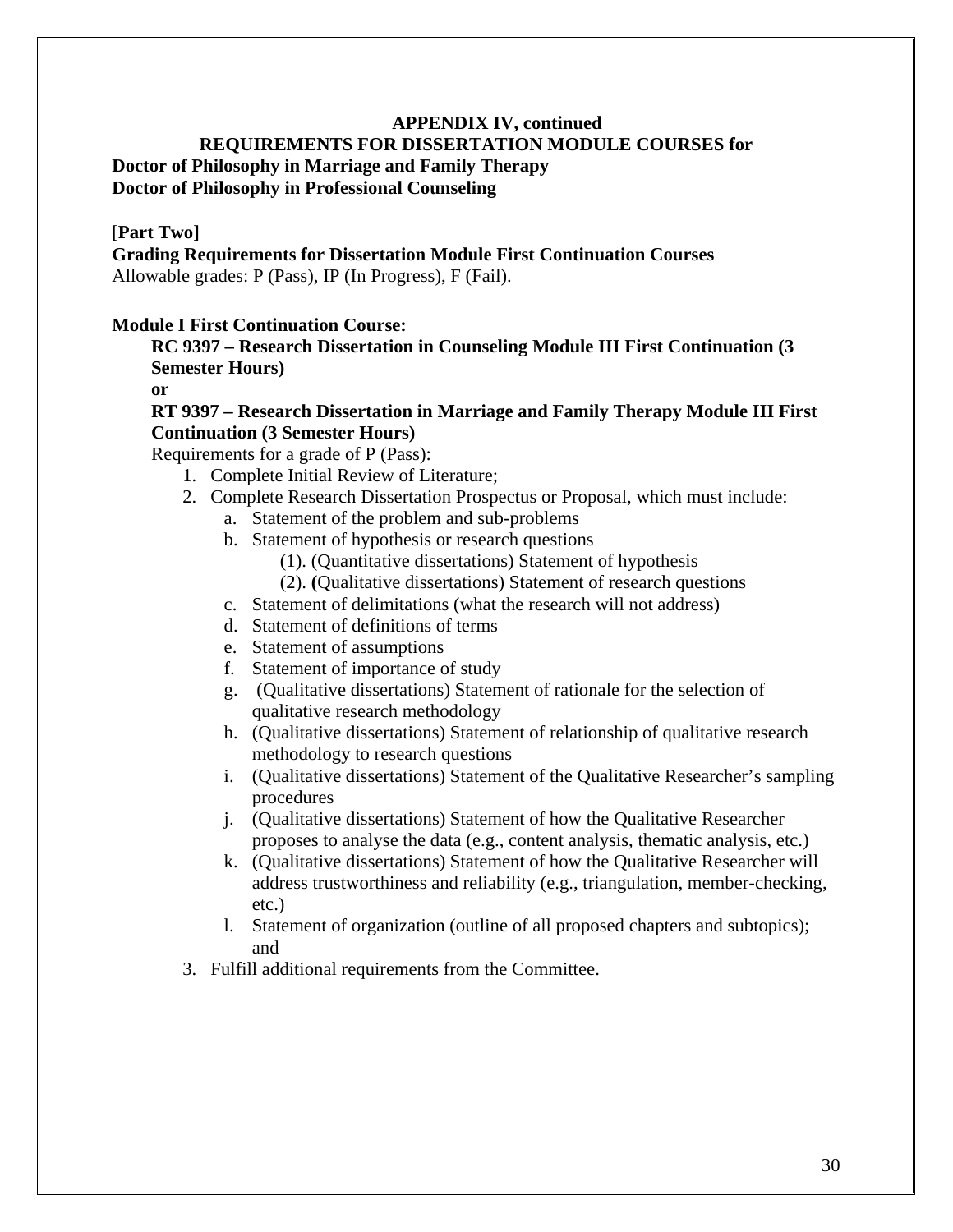#### [**Part Two]**

**Grading Requirements for Dissertation Module First Continuation Courses** Allowable grades: P (Pass), IP (In Progress), F (Fail).

#### **Module I First Continuation Course:**

**RC 9397 – Research Dissertation in Counseling Module III First Continuation (3 Semester Hours)**

**or**

#### **RT 9397 – Research Dissertation in Marriage and Family Therapy Module III First Continuation (3 Semester Hours)**

- 1. Complete Initial Review of Literature;
- 2. Complete Research Dissertation Prospectus or Proposal, which must include:
	- a. Statement of the problem and sub-problems
	- b. Statement of hypothesis or research questions
		- (1). (Quantitative dissertations) Statement of hypothesis
		- (2). **(**Qualitative dissertations) Statement of research questions
	- c. Statement of delimitations (what the research will not address)
	- d. Statement of definitions of terms
	- e. Statement of assumptions
	- f. Statement of importance of study
	- g. (Qualitative dissertations) Statement of rationale for the selection of qualitative research methodology
	- h. (Qualitative dissertations) Statement of relationship of qualitative research methodology to research questions
	- i. (Qualitative dissertations) Statement of the Qualitative Researcher's sampling procedures
	- j. (Qualitative dissertations) Statement of how the Qualitative Researcher proposes to analyse the data (e.g., content analysis, thematic analysis, etc.)
	- k. (Qualitative dissertations) Statement of how the Qualitative Researcher will address trustworthiness and reliability (e.g., triangulation, member-checking, etc.)
	- l. Statement of organization (outline of all proposed chapters and subtopics); and
- 3. Fulfill additional requirements from the Committee.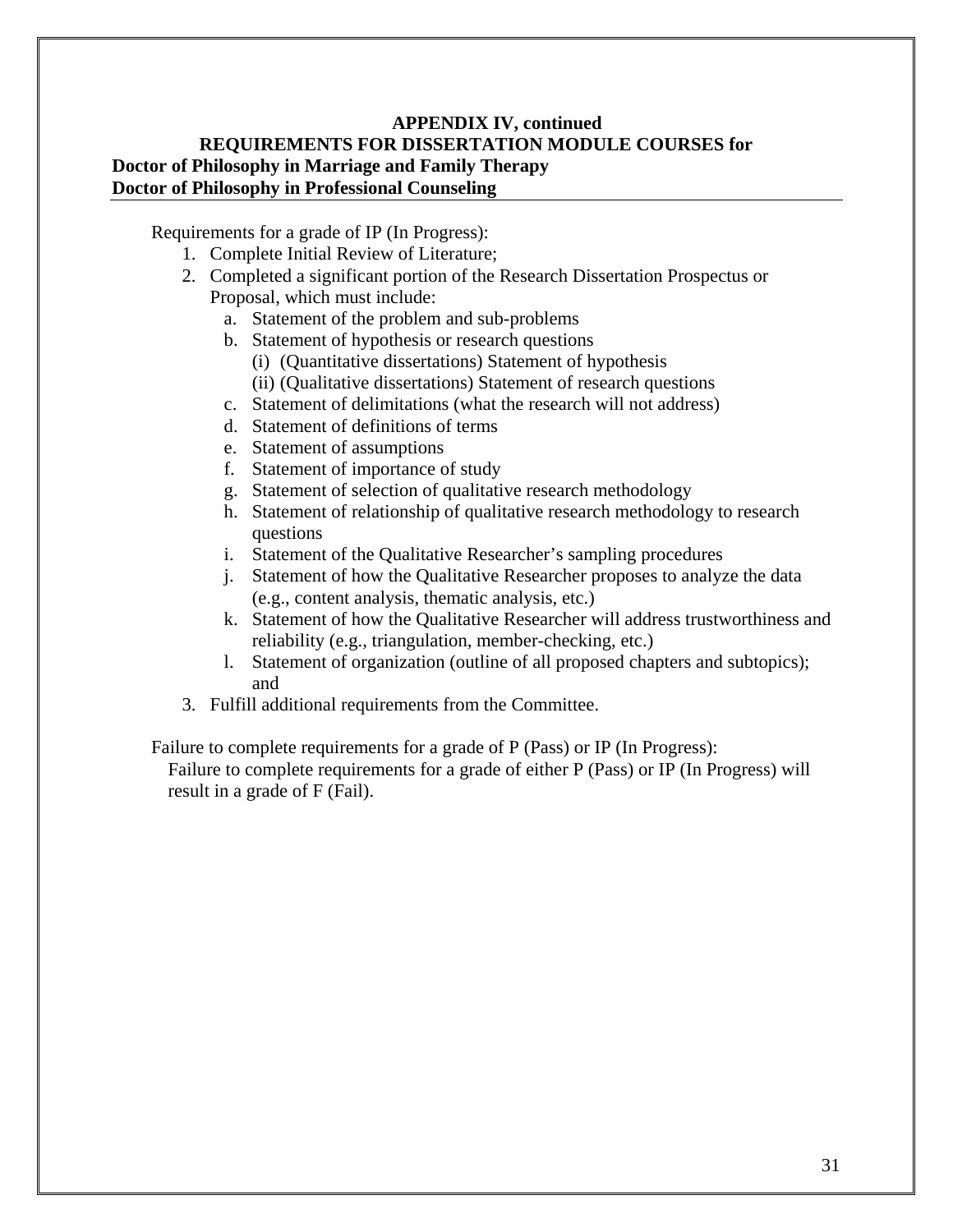Requirements for a grade of IP (In Progress):

- 1. Complete Initial Review of Literature;
- 2. Completed a significant portion of the Research Dissertation Prospectus or Proposal, which must include:
	- a. Statement of the problem and sub-problems
	- b. Statement of hypothesis or research questions
		- (i) (Quantitative dissertations) Statement of hypothesis
		- (ii) (Qualitative dissertations) Statement of research questions
	- c. Statement of delimitations (what the research will not address)
	- d. Statement of definitions of terms
	- e. Statement of assumptions
	- f. Statement of importance of study
	- g. Statement of selection of qualitative research methodology
	- h. Statement of relationship of qualitative research methodology to research questions
	- i. Statement of the Qualitative Researcher's sampling procedures
	- j. Statement of how the Qualitative Researcher proposes to analyze the data (e.g., content analysis, thematic analysis, etc.)
	- k. Statement of how the Qualitative Researcher will address trustworthiness and reliability (e.g., triangulation, member-checking, etc.)
	- l. Statement of organization (outline of all proposed chapters and subtopics); and
- 3. Fulfill additional requirements from the Committee.

Failure to complete requirements for a grade of P (Pass) or IP (In Progress):

Failure to complete requirements for a grade of either P (Pass) or IP (In Progress) will result in a grade of F (Fail).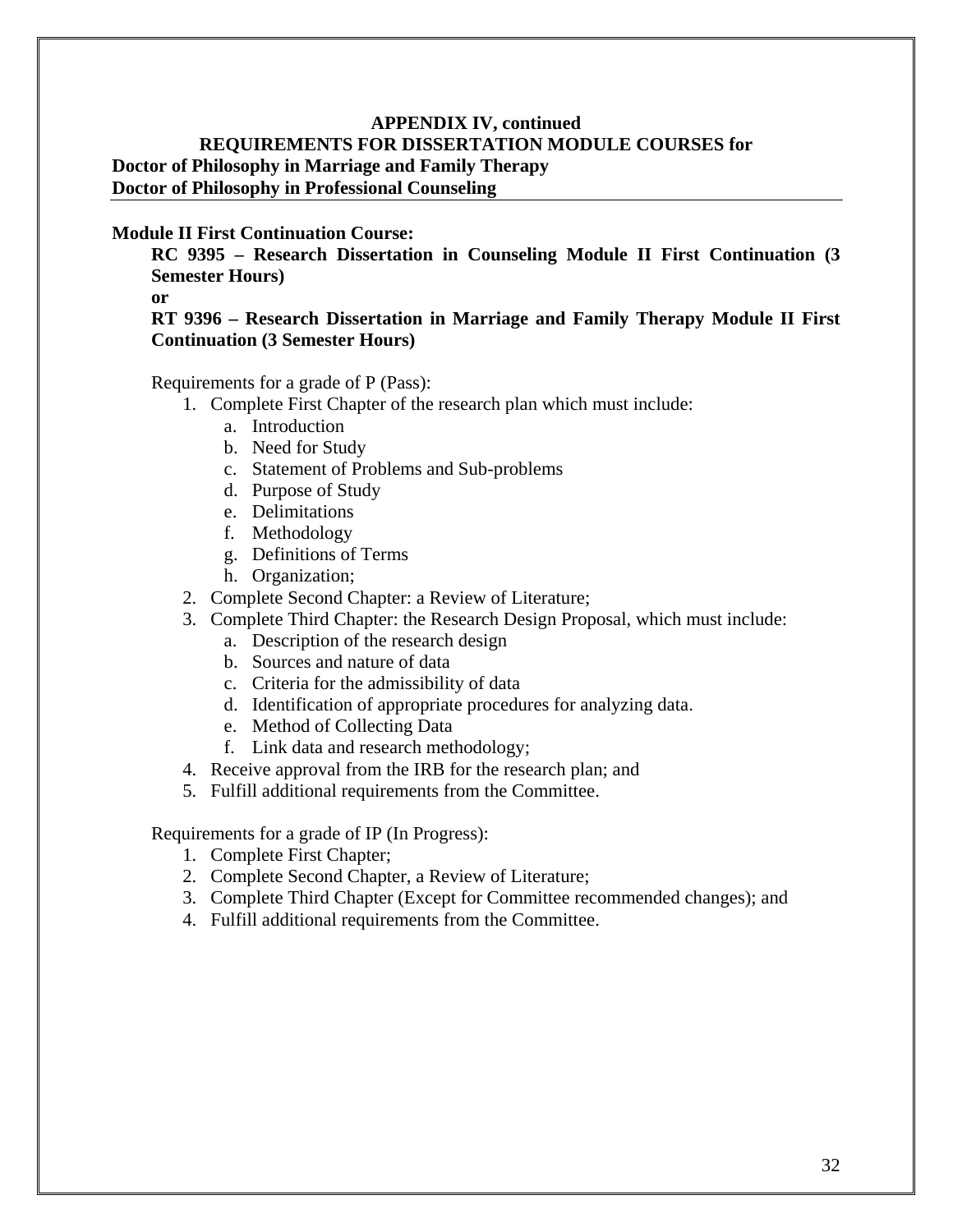#### **Module II First Continuation Course:**

**RC 9395 – Research Dissertation in Counseling Module II First Continuation (3 Semester Hours)**

**or**

#### **RT 9396 – Research Dissertation in Marriage and Family Therapy Module II First Continuation (3 Semester Hours)**

Requirements for a grade of P (Pass):

- 1. Complete First Chapter of the research plan which must include:
	- a. Introduction
	- b. Need for Study
	- c. Statement of Problems and Sub-problems
	- d. Purpose of Study
	- e. Delimitations
	- f. Methodology
	- g. Definitions of Terms
	- h. Organization;
- 2. Complete Second Chapter: a Review of Literature;
- 3. Complete Third Chapter: the Research Design Proposal, which must include:
	- a. Description of the research design
	- b. Sources and nature of data
	- c. Criteria for the admissibility of data
	- d. Identification of appropriate procedures for analyzing data.
	- e. Method of Collecting Data
	- f. Link data and research methodology;
- 4. Receive approval from the IRB for the research plan; and
- 5. Fulfill additional requirements from the Committee.

Requirements for a grade of IP (In Progress):

- 1. Complete First Chapter;
- 2. Complete Second Chapter, a Review of Literature;
- 3. Complete Third Chapter (Except for Committee recommended changes); and
- 4. Fulfill additional requirements from the Committee.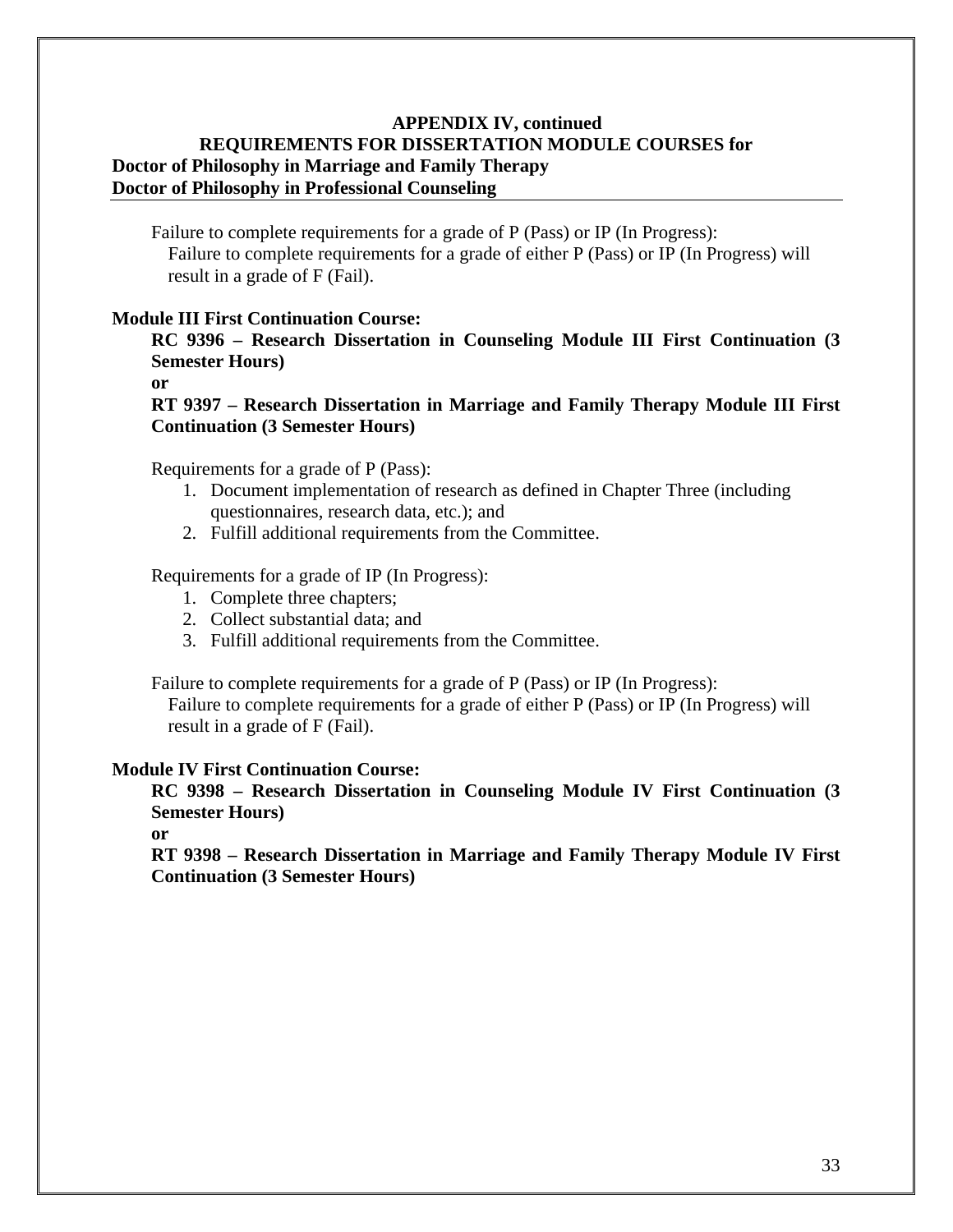Failure to complete requirements for a grade of P (Pass) or IP (In Progress): Failure to complete requirements for a grade of either P (Pass) or IP (In Progress) will result in a grade of F (Fail).

#### **Module III First Continuation Course:**

**RC 9396 – Research Dissertation in Counseling Module III First Continuation (3 Semester Hours)**

**or**

**RT 9397 – Research Dissertation in Marriage and Family Therapy Module III First Continuation (3 Semester Hours)**

Requirements for a grade of P (Pass):

- 1. Document implementation of research as defined in Chapter Three (including questionnaires, research data, etc.); and
- 2. Fulfill additional requirements from the Committee.

Requirements for a grade of IP (In Progress):

- 1. Complete three chapters;
- 2. Collect substantial data; and
- 3. Fulfill additional requirements from the Committee.

Failure to complete requirements for a grade of P (Pass) or IP (In Progress):

Failure to complete requirements for a grade of either P (Pass) or IP (In Progress) will result in a grade of F (Fail).

#### **Module IV First Continuation Course:**

**RC 9398 – Research Dissertation in Counseling Module IV First Continuation (3 Semester Hours)** 

**or** 

**RT 9398 – Research Dissertation in Marriage and Family Therapy Module IV First Continuation (3 Semester Hours)**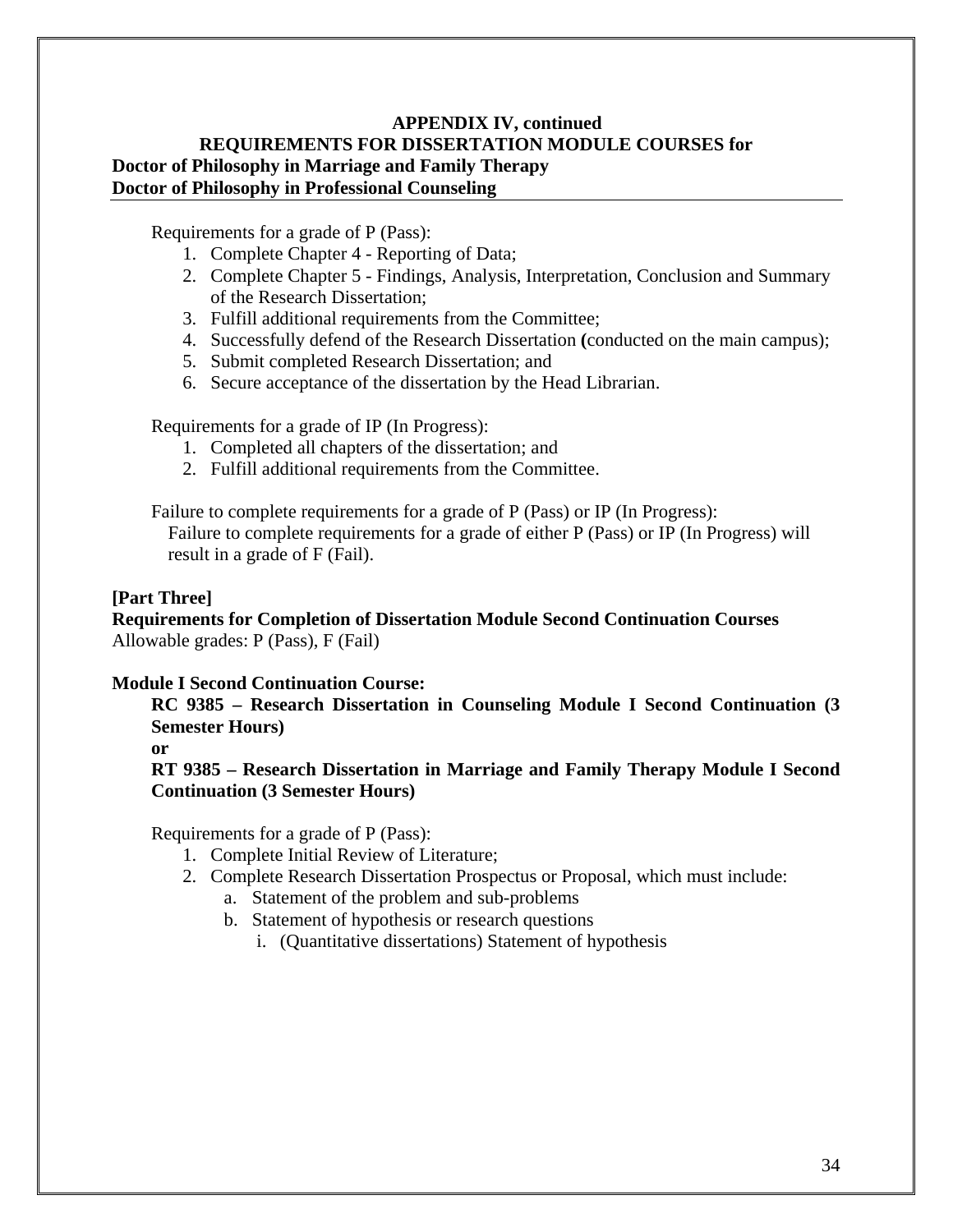Requirements for a grade of P (Pass):

- 1. Complete Chapter 4 Reporting of Data;
- 2. Complete Chapter 5 Findings, Analysis, Interpretation, Conclusion and Summary of the Research Dissertation;
- 3. Fulfill additional requirements from the Committee;
- 4. Successfully defend of the Research Dissertation **(**conducted on the main campus);
- 5. Submit completed Research Dissertation; and
- 6. Secure acceptance of the dissertation by the Head Librarian.

Requirements for a grade of IP (In Progress):

- 1. Completed all chapters of the dissertation; and
- 2. Fulfill additional requirements from the Committee.

Failure to complete requirements for a grade of P (Pass) or IP (In Progress):

Failure to complete requirements for a grade of either P (Pass) or IP (In Progress) will result in a grade of F (Fail).

#### **[Part Three]**

**Requirements for Completion of Dissertation Module Second Continuation Courses** Allowable grades: P (Pass), F (Fail)

#### **Module I Second Continuation Course:**

**RC 9385 – Research Dissertation in Counseling Module I Second Continuation (3 Semester Hours)** 

**or** 

**RT 9385 – Research Dissertation in Marriage and Family Therapy Module I Second Continuation (3 Semester Hours)** 

- 1. Complete Initial Review of Literature;
- 2. Complete Research Dissertation Prospectus or Proposal, which must include:
	- a. Statement of the problem and sub-problems
	- b. Statement of hypothesis or research questions
		- i. (Quantitative dissertations) Statement of hypothesis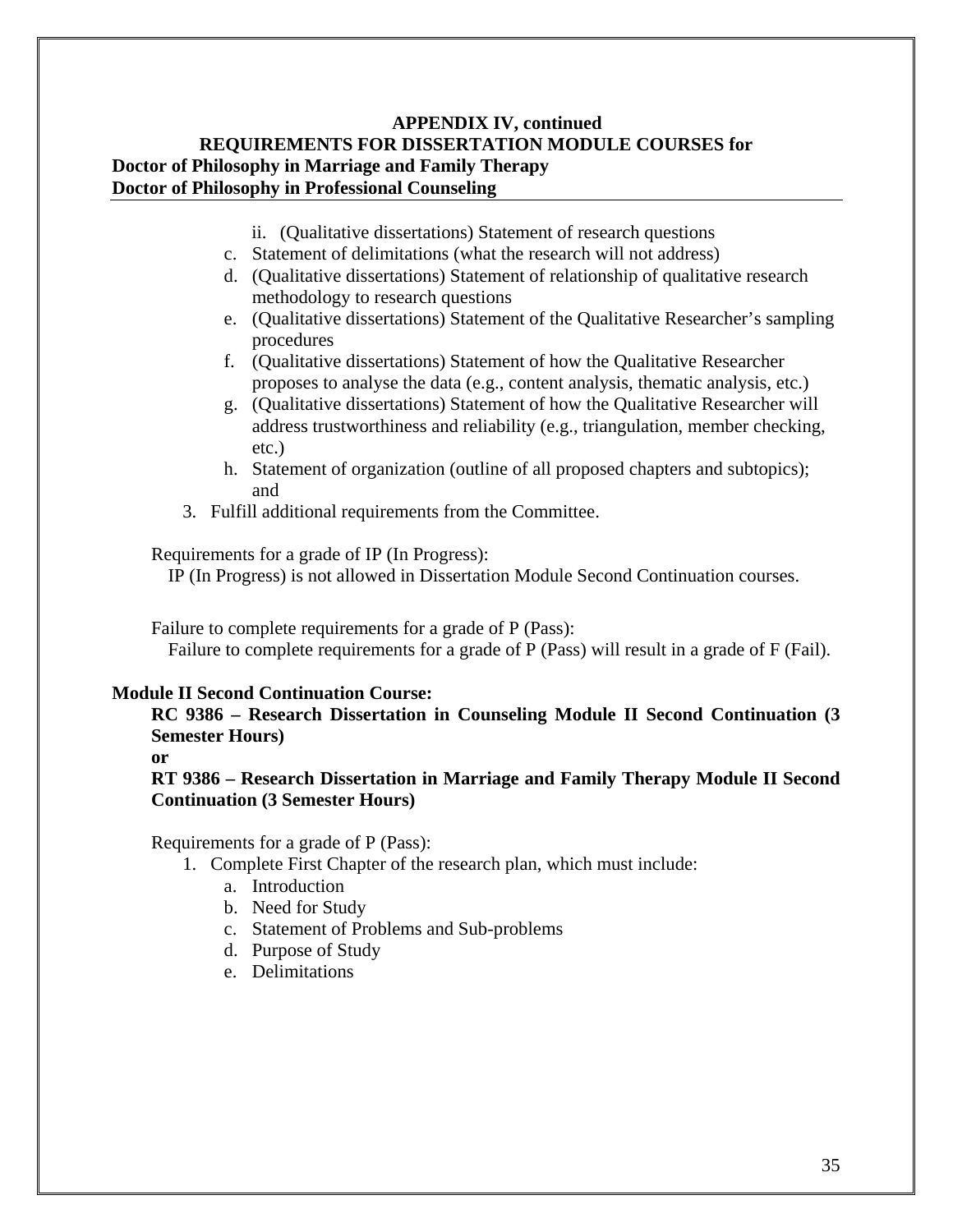- ii. (Qualitative dissertations) Statement of research questions
- c. Statement of delimitations (what the research will not address)
- d. (Qualitative dissertations) Statement of relationship of qualitative research methodology to research questions
- e. (Qualitative dissertations) Statement of the Qualitative Researcher's sampling procedures
- f. (Qualitative dissertations) Statement of how the Qualitative Researcher proposes to analyse the data (e.g., content analysis, thematic analysis, etc.)
- g. (Qualitative dissertations) Statement of how the Qualitative Researcher will address trustworthiness and reliability (e.g., triangulation, member checking, etc.)
- h. Statement of organization (outline of all proposed chapters and subtopics); and
- 3. Fulfill additional requirements from the Committee.

Requirements for a grade of IP (In Progress):

IP (In Progress) is not allowed in Dissertation Module Second Continuation courses.

Failure to complete requirements for a grade of P (Pass):

Failure to complete requirements for a grade of P (Pass) will result in a grade of F (Fail).

#### **Module II Second Continuation Course:**

**RC 9386 – Research Dissertation in Counseling Module II Second Continuation (3 Semester Hours)** 

#### **or**

**RT 9386 – Research Dissertation in Marriage and Family Therapy Module II Second Continuation (3 Semester Hours)** 

- 1. Complete First Chapter of the research plan, which must include:
	- a. Introduction
	- b. Need for Study
	- c. Statement of Problems and Sub-problems
	- d. Purpose of Study
	- e. Delimitations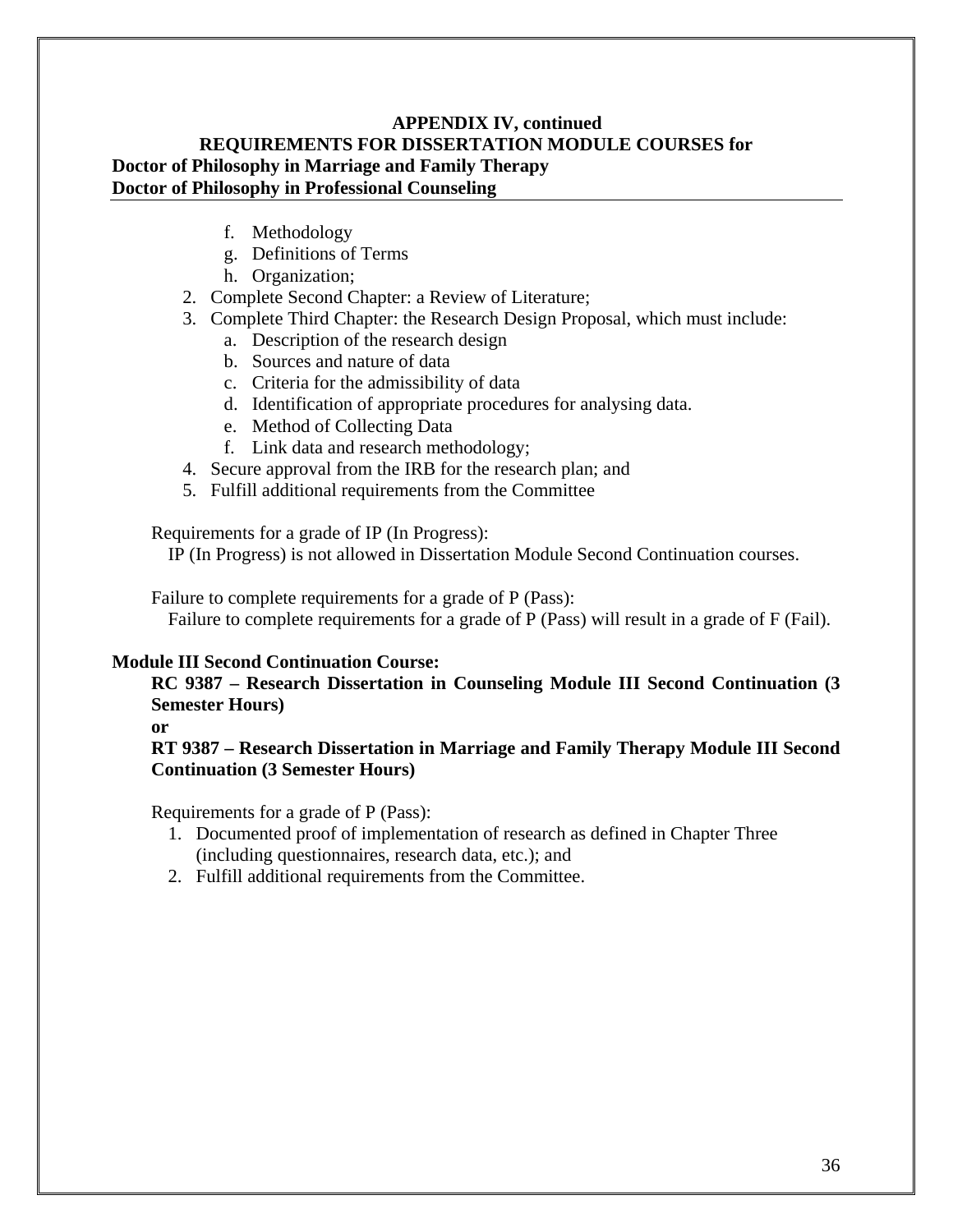- f. Methodology
- g. Definitions of Terms
- h. Organization;
- 2. Complete Second Chapter: a Review of Literature;
- 3. Complete Third Chapter: the Research Design Proposal, which must include:
	- a. Description of the research design
	- b. Sources and nature of data
	- c. Criteria for the admissibility of data
	- d. Identification of appropriate procedures for analysing data.
	- e. Method of Collecting Data
	- f. Link data and research methodology;
- 4. Secure approval from the IRB for the research plan; and
- 5. Fulfill additional requirements from the Committee

Requirements for a grade of IP (In Progress):

IP (In Progress) is not allowed in Dissertation Module Second Continuation courses.

Failure to complete requirements for a grade of P (Pass):

Failure to complete requirements for a grade of P (Pass) will result in a grade of F (Fail).

#### **Module III Second Continuation Course:**

#### **RC 9387 – Research Dissertation in Counseling Module III Second Continuation (3 Semester Hours)**

**or** 

#### **RT 9387 – Research Dissertation in Marriage and Family Therapy Module III Second Continuation (3 Semester Hours)**

- 1. Documented proof of implementation of research as defined in Chapter Three (including questionnaires, research data, etc.); and
- 2. Fulfill additional requirements from the Committee.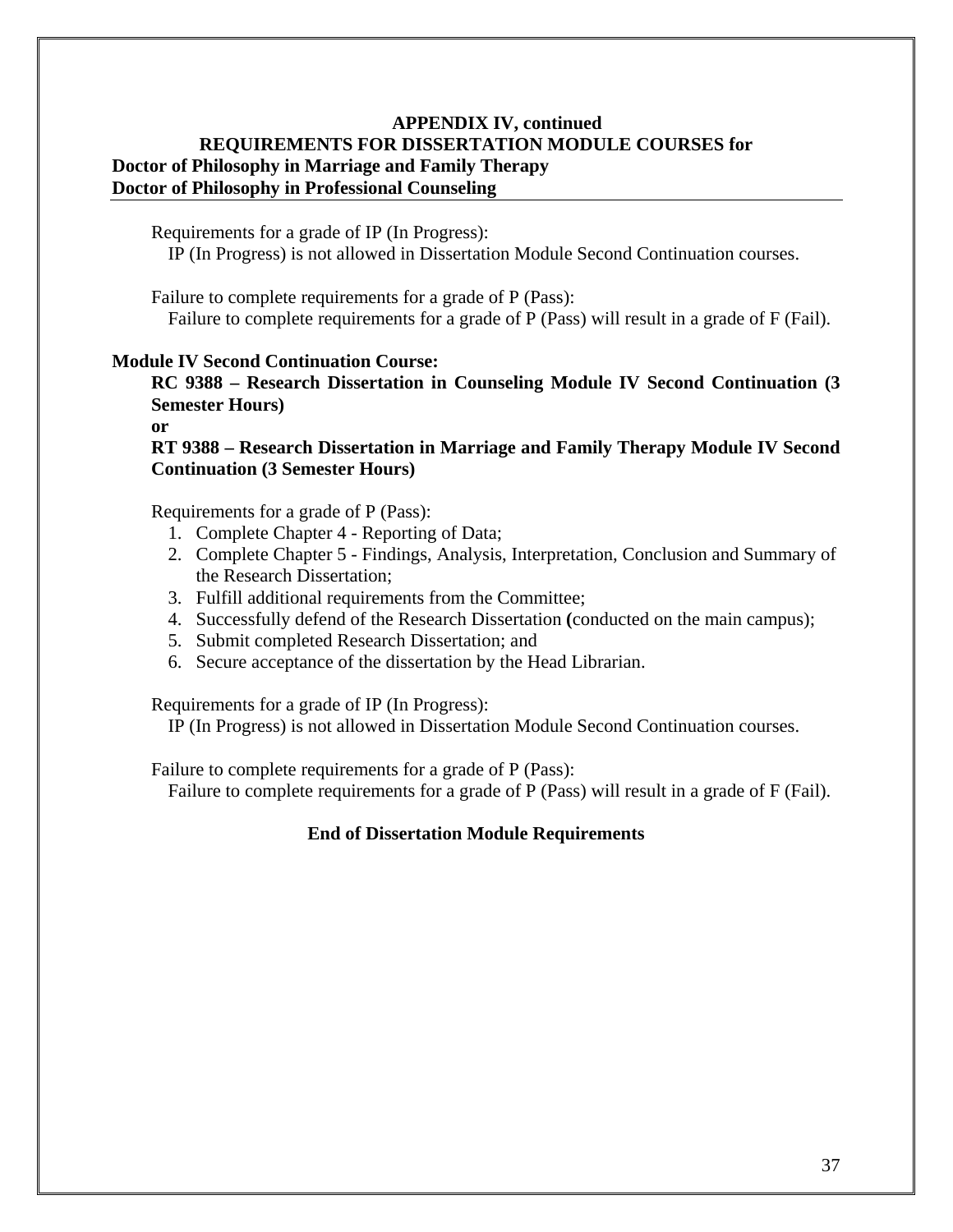Requirements for a grade of IP (In Progress):

IP (In Progress) is not allowed in Dissertation Module Second Continuation courses.

Failure to complete requirements for a grade of P (Pass): Failure to complete requirements for a grade of P (Pass) will result in a grade of F (Fail).

#### **Module IV Second Continuation Course:**

**RC 9388 – Research Dissertation in Counseling Module IV Second Continuation (3 Semester Hours)** 

**or** 

**RT 9388 – Research Dissertation in Marriage and Family Therapy Module IV Second Continuation (3 Semester Hours)** 

Requirements for a grade of P (Pass):

- 1. Complete Chapter 4 Reporting of Data;
- 2. Complete Chapter 5 Findings, Analysis, Interpretation, Conclusion and Summary of the Research Dissertation;
- 3. Fulfill additional requirements from the Committee;
- 4. Successfully defend of the Research Dissertation **(**conducted on the main campus);
- 5. Submit completed Research Dissertation; and
- 6. Secure acceptance of the dissertation by the Head Librarian.

Requirements for a grade of IP (In Progress):

IP (In Progress) is not allowed in Dissertation Module Second Continuation courses.

Failure to complete requirements for a grade of P (Pass):

Failure to complete requirements for a grade of P (Pass) will result in a grade of F (Fail).

#### **End of Dissertation Module Requirements**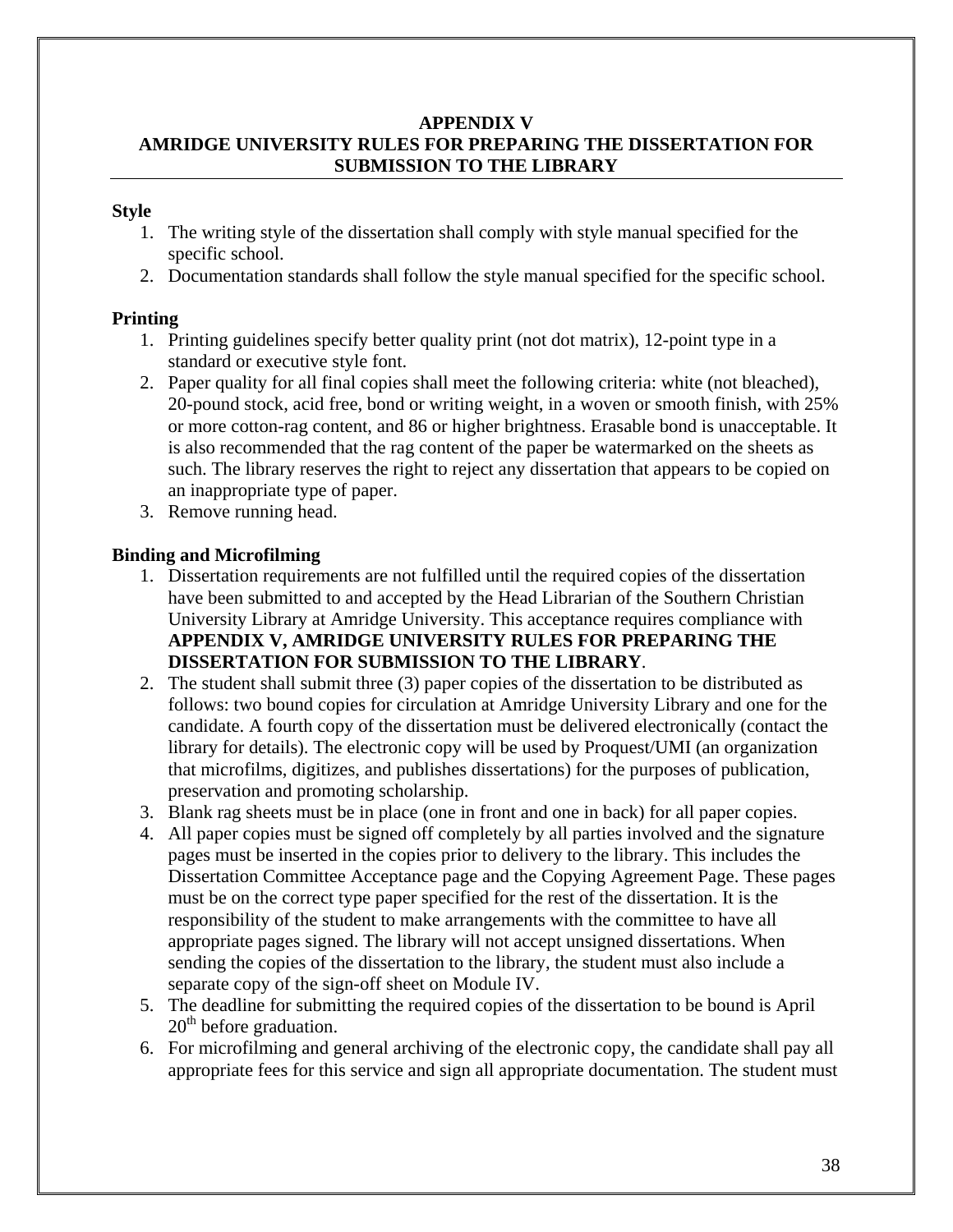#### **APPENDIX V AMRIDGE UNIVERSITY RULES FOR PREPARING THE DISSERTATION FOR SUBMISSION TO THE LIBRARY**

#### **Style**

- 1. The writing style of the dissertation shall comply with style manual specified for the specific school.
- 2. Documentation standards shall follow the style manual specified for the specific school.

#### **Printing**

- 1. Printing guidelines specify better quality print (not dot matrix), 12-point type in a standard or executive style font.
- 2. Paper quality for all final copies shall meet the following criteria: white (not bleached), 20-pound stock, acid free, bond or writing weight, in a woven or smooth finish, with 25% or more cotton-rag content, and 86 or higher brightness. Erasable bond is unacceptable. It is also recommended that the rag content of the paper be watermarked on the sheets as such. The library reserves the right to reject any dissertation that appears to be copied on an inappropriate type of paper.
- 3. Remove running head.

#### **Binding and Microfilming**

- 1. Dissertation requirements are not fulfilled until the required copies of the dissertation have been submitted to and accepted by the Head Librarian of the Southern Christian University Library at Amridge University. This acceptance requires compliance with **APPENDIX V, AMRIDGE UNIVERSITY RULES FOR PREPARING THE DISSERTATION FOR SUBMISSION TO THE LIBRARY**.
- 2. The student shall submit three (3) paper copies of the dissertation to be distributed as follows: two bound copies for circulation at Amridge University Library and one for the candidate. A fourth copy of the dissertation must be delivered electronically (contact the library for details). The electronic copy will be used by Proquest/UMI (an organization that microfilms, digitizes, and publishes dissertations) for the purposes of publication, preservation and promoting scholarship.
- 3. Blank rag sheets must be in place (one in front and one in back) for all paper copies.
- 4. All paper copies must be signed off completely by all parties involved and the signature pages must be inserted in the copies prior to delivery to the library. This includes the Dissertation Committee Acceptance page and the Copying Agreement Page. These pages must be on the correct type paper specified for the rest of the dissertation. It is the responsibility of the student to make arrangements with the committee to have all appropriate pages signed. The library will not accept unsigned dissertations. When sending the copies of the dissertation to the library, the student must also include a separate copy of the sign-off sheet on Module IV.
- 5. The deadline for submitting the required copies of the dissertation to be bound is April  $20<sup>th</sup>$  before graduation.
- 6. For microfilming and general archiving of the electronic copy, the candidate shall pay all appropriate fees for this service and sign all appropriate documentation. The student must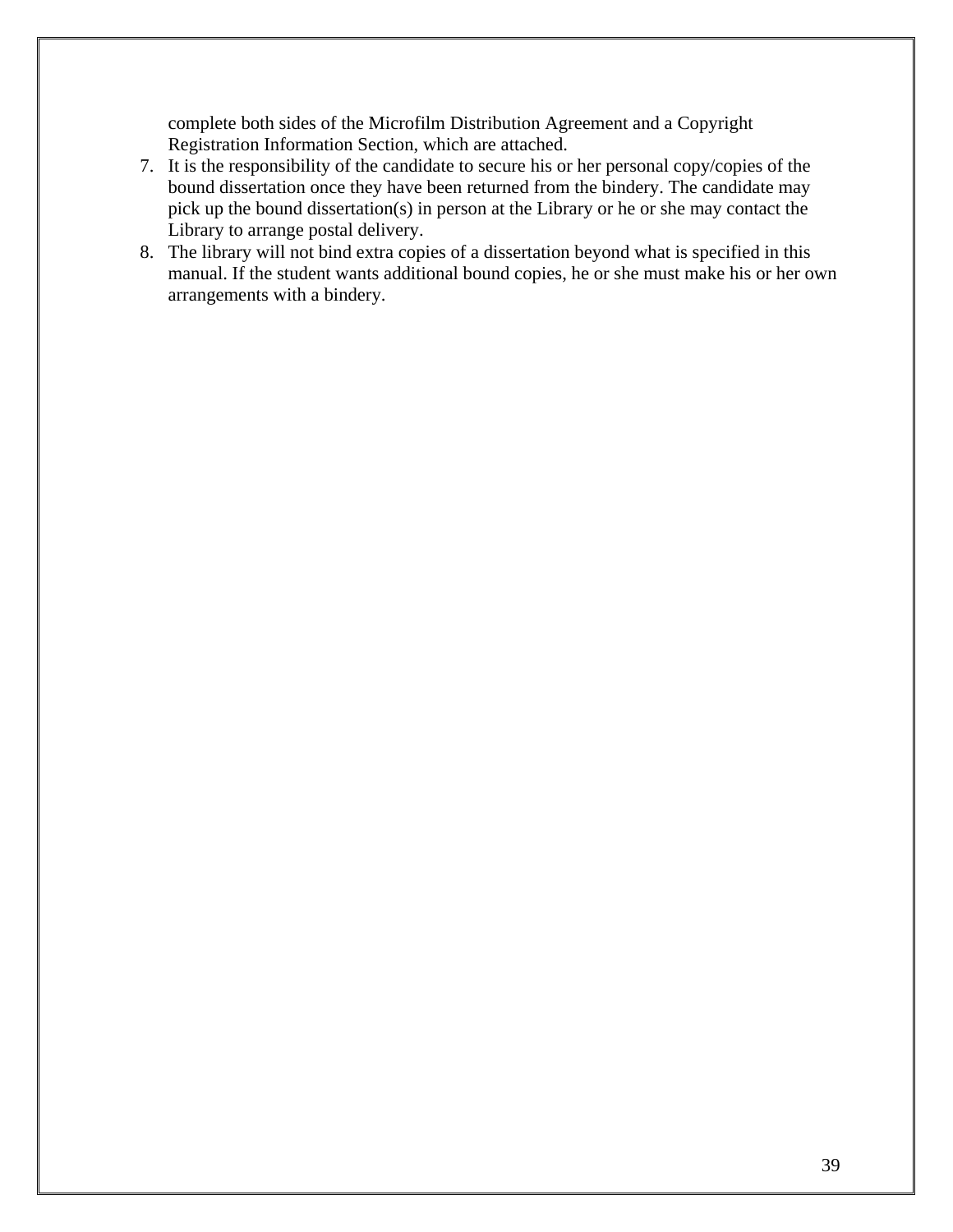complete both sides of the Microfilm Distribution Agreement and a Copyright Registration Information Section, which are attached.

- 7. It is the responsibility of the candidate to secure his or her personal copy/copies of the bound dissertation once they have been returned from the bindery. The candidate may pick up the bound dissertation(s) in person at the Library or he or she may contact the Library to arrange postal delivery.
- 8. The library will not bind extra copies of a dissertation beyond what is specified in this manual. If the student wants additional bound copies, he or she must make his or her own arrangements with a bindery.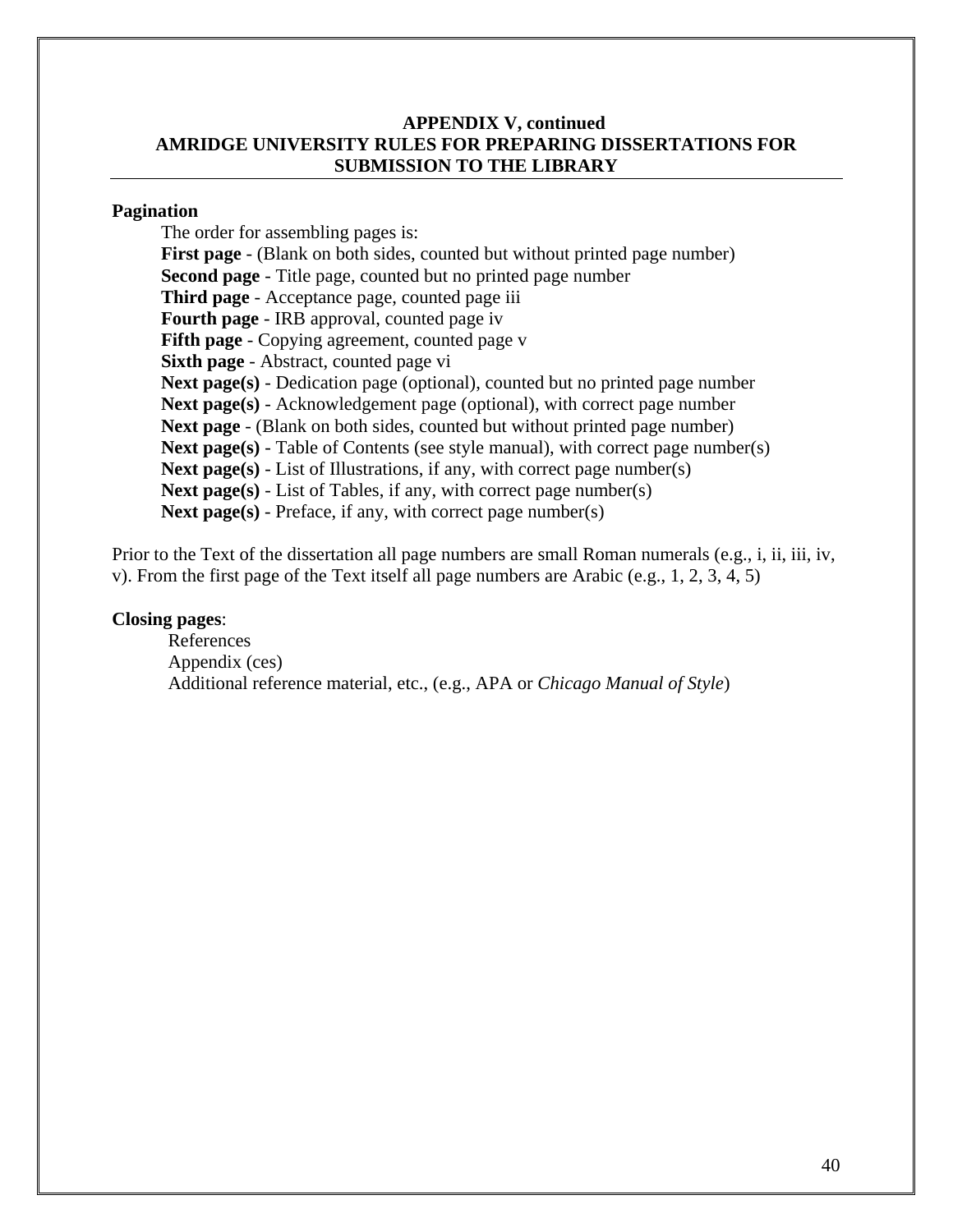#### **APPENDIX V, continued AMRIDGE UNIVERSITY RULES FOR PREPARING DISSERTATIONS FOR SUBMISSION TO THE LIBRARY**

#### **Pagination**

The order for assembling pages is: **First page** - (Blank on both sides, counted but without printed page number) **Second page** - Title page, counted but no printed page number **Third page** - Acceptance page, counted page iii **Fourth page** - IRB approval, counted page iv **Fifth page** - Copying agreement, counted page v **Sixth page** - Abstract, counted page vi **Next page(s)** - Dedication page (optional), counted but no printed page number **Next page(s)** - Acknowledgement page (optional), with correct page number **Next page** - (Blank on both sides, counted but without printed page number) **Next page(s)** - Table of Contents (see style manual), with correct page number(s) **Next page(s)** - List of Illustrations, if any, with correct page number(s) **Next page(s)** - List of Tables, if any, with correct page number(s) Next page(s) - Preface, if any, with correct page number(s)

Prior to the Text of the dissertation all page numbers are small Roman numerals (e.g., i, ii, iii, iv, v). From the first page of the Text itself all page numbers are Arabic (e.g., 1, 2, 3, 4, 5)

#### **Closing pages**:

 References Appendix (ces) Additional reference material, etc., (e.g., APA or *Chicago Manual of Style*)